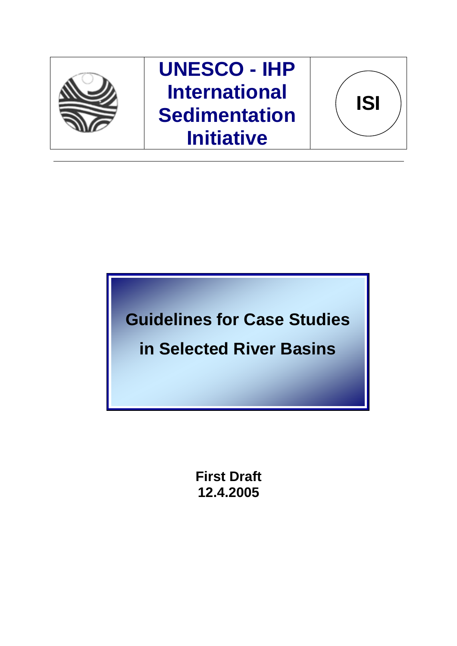

**UNESCO - IHP International Sedimentation Initiative**



**Guidelines for Case Studies in Selected River Basins** 

> **First Draft 12.4.2005**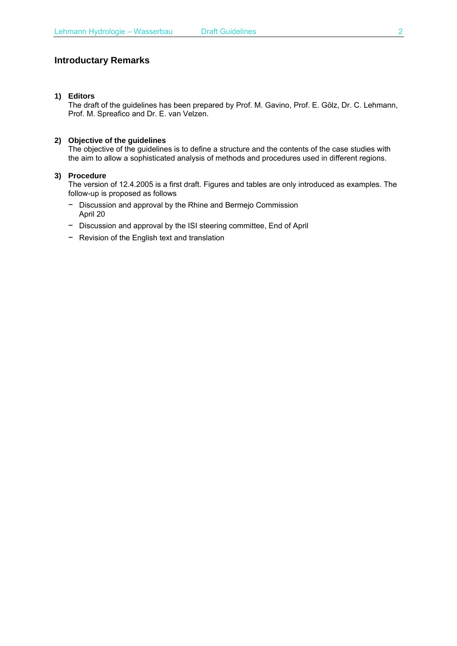## **Introductary Remarks**

### **1) Editors**

The draft of the guidelines has been prepared by Prof. M. Gavino, Prof. E. Gölz, Dr. C. Lehmann, Prof. M. Spreafico and Dr. E. van Velzen.

#### **2) Objective of the guidelines**

The objective of the guidelines is to define a structure and the contents of the case studies with the aim to allow a sophisticated analysis of methods and procedures used in different regions.

#### **3) Procedure**

The version of 12.4.2005 is a first draft. Figures and tables are only introduced as examples. The follow-up is proposed as follows

- − Discussion and approval by the Rhine and Bermejo Commission April 20
- − Discussion and approval by the ISI steering committee, End of April
- − Revision of the English text and translation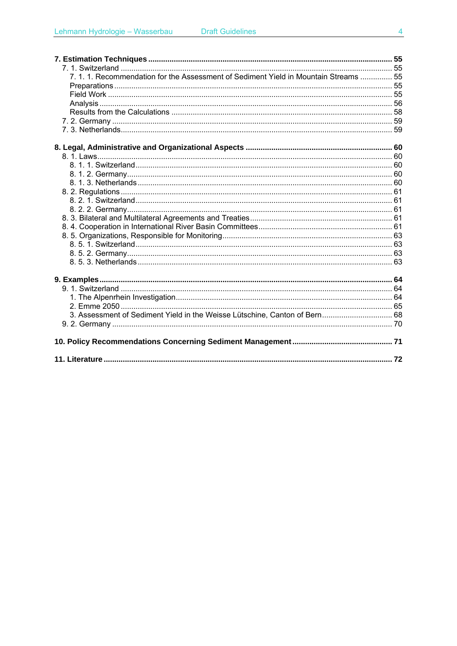| 7. 1. 1. Recommendation for the Assessment of Sediment Yield in Mountain Streams  55 |  |
|--------------------------------------------------------------------------------------|--|
|                                                                                      |  |
|                                                                                      |  |
|                                                                                      |  |
|                                                                                      |  |
|                                                                                      |  |
|                                                                                      |  |
|                                                                                      |  |
|                                                                                      |  |
|                                                                                      |  |
|                                                                                      |  |
|                                                                                      |  |
|                                                                                      |  |
|                                                                                      |  |
|                                                                                      |  |
|                                                                                      |  |
|                                                                                      |  |
|                                                                                      |  |
|                                                                                      |  |
|                                                                                      |  |
|                                                                                      |  |
|                                                                                      |  |
|                                                                                      |  |
|                                                                                      |  |
|                                                                                      |  |
| 3. Assessment of Sediment Yield in the Weisse Lütschine, Canton of Bern 68           |  |
|                                                                                      |  |
|                                                                                      |  |
|                                                                                      |  |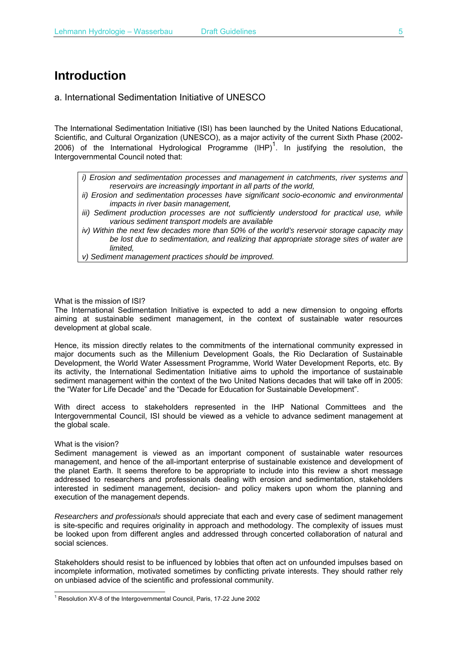# **Introduction**

a. International Sedimentation Initiative of UNESCO

The International Sedimentation Initiative (ISI) has been launched by the United Nations Educational, Scientific, and Cultural Organization (UNESCO), as a major activity of the current Sixth Phase (2002- 2006) of the International Hydrological Programme  $(HPP)^1$ . In justifying the resolution, the Intergovernmental Council noted that:

*i) Erosion and sedimentation processes and management in catchments, river systems and reservoirs are increasingly important in all parts of the world,* 

- *ii) Erosion and sedimentation processes have significant socio-economic and environmental impacts in river basin management,*
- *iii)* Sediment production processes are not sufficiently understood for practical use, while *various sediment transport models are available*
- *iv) Within the next few decades more than 50% of the world's reservoir storage capacity may be lost due to sedimentation, and realizing that appropriate storage sites of water are limited,*

*v) Sediment management practices should be improved.*

### What is the mission of ISI?

The International Sedimentation Initiative is expected to add a new dimension to ongoing efforts aiming at sustainable sediment management, in the context of sustainable water resources development at global scale.

Hence, its mission directly relates to the commitments of the international community expressed in major documents such as the Millenium Development Goals, the Rio Declaration of Sustainable Development, the World Water Assessment Programme, World Water Development Reports, etc. By its activity, the International Sedimentation Initiative aims to uphold the importance of sustainable sediment management within the context of the two United Nations decades that will take off in 2005: the "Water for Life Decade" and the "Decade for Education for Sustainable Development".

With direct access to stakeholders represented in the IHP National Committees and the Intergovernmental Council, ISI should be viewed as a vehicle to advance sediment management at the global scale.

#### What is the vision?

l

Sediment management is viewed as an important component of sustainable water resources management, and hence of the all-important enterprise of sustainable existence and development of the planet Earth. It seems therefore to be appropriate to include into this review a short message addressed to researchers and professionals dealing with erosion and sedimentation, stakeholders interested in sediment management, decision- and policy makers upon whom the planning and execution of the management depends.

*Researchers and professionals* should appreciate that each and every case of sediment management is site-specific and requires originality in approach and methodology. The complexity of issues must be looked upon from different angles and addressed through concerted collaboration of natural and social sciences.

Stakeholders should resist to be influenced by lobbies that often act on unfounded impulses based on incomplete information, motivated sometimes by conflicting private interests. They should rather rely on unbiased advice of the scientific and professional community.

<sup>&</sup>lt;sup>1</sup> Resolution XV-8 of the Intergovernmental Council, Paris, 17-22 June 2002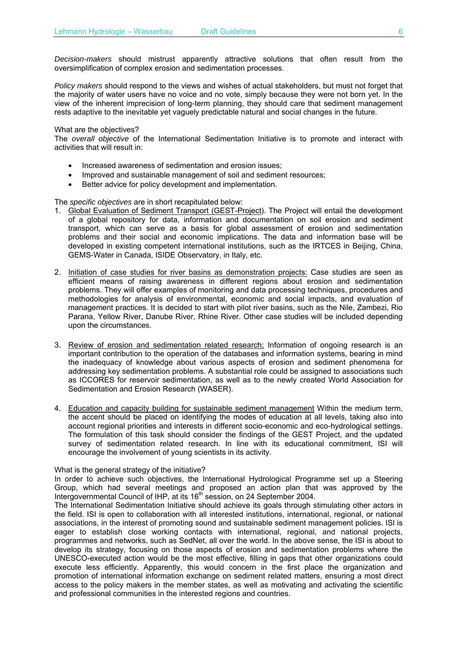*Decision-makers* should mistrust apparently attractive solutions that often result from the oversimplification of complex erosion and sedimentation processes.

*Policy makers* should respond to the views and wishes of actual stakeholders, but must not forget that the majority of water users have no voice and no vote, simply because they were not born yet. In the view of the inherent imprecision of long-term planning, they should care that sediment management rests adaptive to the inevitable yet vaguely predictable natural and social changes in the future.

#### What are the objectives?

The *overall objective* of the International Sedimentation Initiative is to promote and interact with activities that will result in:

- Increased awareness of sedimentation and erosion issues;
- Improved and sustainable management of soil and sediment resources;
- Better advice for policy development and implementation.

The *specific objectives* are in short recapitulated below:

- 1. Global Evaluation of Sediment Transport (GEST-Project). The Project will entail the development of a global repository for data, information and documentation on soil erosion and sediment transport, which can serve as a basis for global assessment of erosion and sedimentation problems and their social and economic implications. The data and information base will be developed in existing competent international institutions, such as the IRTCES in Beijing, China, GEMS-Water in Canada, ISIDE Observatory, in Italy, etc.
- 2. Initiation of case studies for river basins as demonstration projects: Case studies are seen as efficient means of raising awareness in different regions about erosion and sedimentation problems. They will offer examples of monitoring and data processing techniques, procedures and methodologies for analysis of environmental, economic and social impacts, and evaluation of management practices. It is decided to start with pilot river basins, such as the Nile, Zambezi, Rio Parana, Yellow River, Danube River, Rhine River. Other case studies will be included depending upon the circumstances.
- 3. Review of erosion and sedimentation related research; Information of ongoing research is an important contribution to the operation of the databases and information systems, bearing in mind the inadequacy of knowledge about various aspects of erosion and sediment phenomena for addressing key sedimentation problems. A substantial role could be assigned to associations such as ICCORES for reservoir sedimentation, as well as to the newly created World Association for Sedimentation and Erosion Research (WASER).
- 4. Education and capacity building for sustainable sediment management Within the medium term, the accent should be placed on identifying the modes of education at all levels, taking also into account regional priorities and interests in different socio-economic and eco-hydrological settings. The formulation of this task should consider the findings of the GEST Project, and the updated survey of sedimentation related research. In line with its educational commitment, ISI will encourage the involvement of young scientists in its activity.

What is the general strategy of the initiative?

In order to achieve such objectives, the International Hydrological Programme set up a Steering Group, which had several meetings and proposed an action plan that was approved by the Intergovernmental Council of IHP, at its 16<sup>th</sup> session, on 24 September 2004.

The International Sedimentation Initiative should achieve its goals through stimulating other actors in the field. ISI is open to collaboration with all interested institutions, international, regional, or national associations, in the interest of promoting sound and sustainable sediment management policies. ISI is eager to establish close working contacts with international, regional, and national projects, programmes and networks, such as SedNet, all over the world. In the above sense, the ISI is about to develop its strategy, focusing on those aspects of erosion and sedimentation problems where the UNESCO-executed action would be the most effective, filling in gaps that other organizations could execute less efficiently. Apparently, this would concern in the first place the organization and promotion of international information exchange on sediment related matters, ensuring a most direct access to the policy makers in the member states, as well as motivating and activating the scientific and professional communities in the interested regions and countries.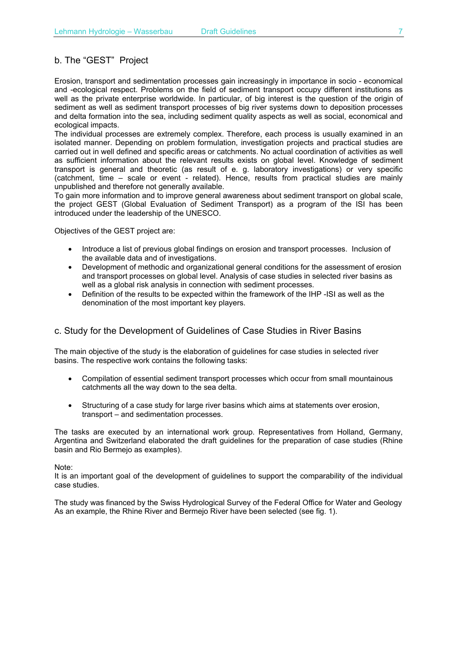## b. The "GEST" Project

Erosion, transport and sedimentation processes gain increasingly in importance in socio - economical and -ecological respect. Problems on the field of sediment transport occupy different institutions as well as the private enterprise worldwide. In particular, of big interest is the question of the origin of sediment as well as sediment transport processes of big river systems down to deposition processes and delta formation into the sea, including sediment quality aspects as well as social, economical and ecological impacts.

The individual processes are extremely complex. Therefore, each process is usually examined in an isolated manner. Depending on problem formulation, investigation projects and practical studies are carried out in well defined and specific areas or catchments. No actual coordination of activities as well as sufficient information about the relevant results exists on global level. Knowledge of sediment transport is general and theoretic (as result of e. g. laboratory investigations) or very specific (catchment, time – scale or event - related). Hence, results from practical studies are mainly unpublished and therefore not generally available.

To gain more information and to improve general awareness about sediment transport on global scale, the project GEST (Global Evaluation of Sediment Transport) as a program of the ISI has been introduced under the leadership of the UNESCO.

Objectives of the GEST project are:

- Introduce a list of previous global findings on erosion and transport processes. Inclusion of the available data and of investigations.
- Development of methodic and organizational general conditions for the assessment of erosion and transport processes on global level. Analysis of case studies in selected river basins as well as a global risk analysis in connection with sediment processes.
- Definition of the results to be expected within the framework of the IHP -ISI as well as the denomination of the most important key players.

## c. Study for the Development of Guidelines of Case Studies in River Basins

The main objective of the study is the elaboration of guidelines for case studies in selected river basins. The respective work contains the following tasks:

- Compilation of essential sediment transport processes which occur from small mountainous catchments all the way down to the sea delta.
- Structuring of a case study for large river basins which aims at statements over erosion, transport – and sedimentation processes.

The tasks are executed by an international work group. Representatives from Holland, Germany, Argentina and Switzerland elaborated the draft guidelines for the preparation of case studies (Rhine basin and Rio Bermejo as examples).

Note:

It is an important goal of the development of guidelines to support the comparability of the individual case studies.

The study was financed by the Swiss Hydrological Survey of the Federal Office for Water and Geology As an example, the Rhine River and Bermejo River have been selected (see fig. 1).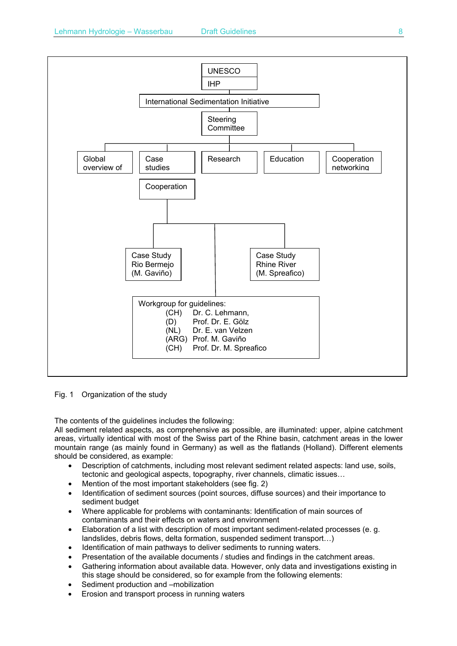

Fig. 1 Organization of the study

The contents of the guidelines includes the following:

All sediment related aspects, as comprehensive as possible, are illuminated: upper, alpine catchment areas, virtually identical with most of the Swiss part of the Rhine basin, catchment areas in the lower mountain range (as mainly found in Germany) as well as the flatlands (Holland). Different elements should be considered, as example:

- Description of catchments, including most relevant sediment related aspects: land use, soils, tectonic and geological aspects, topography, river channels, climatic issues…
- Mention of the most important stakeholders (see fig. 2)
- Identification of sediment sources (point sources, diffuse sources) and their importance to sediment budget
- Where applicable for problems with contaminants: Identification of main sources of contaminants and their effects on waters and environment
- Elaboration of a list with description of most important sediment-related processes (e. g. landslides, debris flows, delta formation, suspended sediment transport…)
- Identification of main pathways to deliver sediments to running waters.
- Presentation of the available documents / studies and findings in the catchment areas.
- Gathering information about available data. However, only data and investigations existing in this stage should be considered, so for example from the following elements:
- Sediment production and –mobilization
- Erosion and transport process in running waters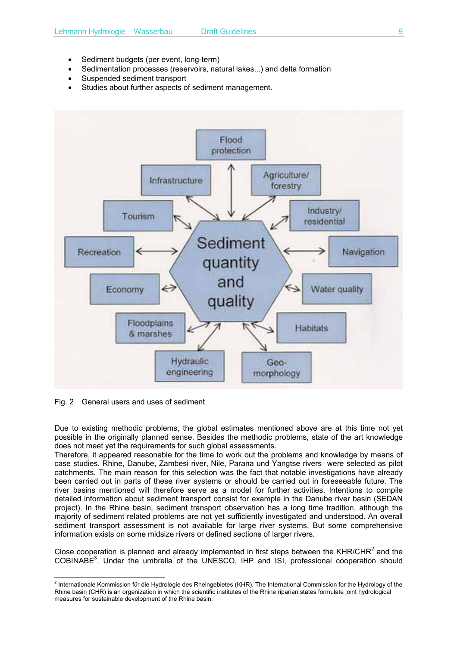- Sediment budgets (per event, long-term)
- Sedimentation processes (reservoirs, natural lakes...) and delta formation
- Suspended sediment transport
- Studies about further aspects of sediment management.



Fig. 2 General users and uses of sediment

Due to existing methodic problems, the global estimates mentioned above are at this time not yet possible in the originally planned sense. Besides the methodic problems, state of the art knowledge does not meet yet the requirements for such global assessments.

Therefore, it appeared reasonable for the time to work out the problems and knowledge by means of case studies. Rhine, Danube, Zambesi river, Nile, Parana und Yangtse rivers were selected as pilot catchments. The main reason for this selection was the fact that notable investigations have already been carried out in parts of these river systems or should be carried out in foreseeable future. The river basins mentioned will therefore serve as a model for further activities. Intentions to compile detailed information about sediment transport consist for example in the Danube river basin (SEDAN project). In the Rhine basin, sediment transport observation has a long time tradition, although the majority of sediment related problems are not yet sufficiently investigated and understood. An overall sediment transport assessment is not available for large river systems. But some comprehensive information exists on some midsize rivers or defined sections of larger rivers.

Close cooperation is planned and already implemented in first steps between the KHR/CHR $^2$  and the COBINABE<sup>3</sup>. Under the umbrella of the UNESCO, IHP and ISI, professional cooperation should

 2 Internationale Kommission für die Hydrologie des Rheingebietes (KHR). The International Commission for the Hydrology of the Rhine basin (CHR) is an organization in which the scientific institutes of the Rhine riparian states formulate joint hydrological measures for sustainable development of the Rhine basin.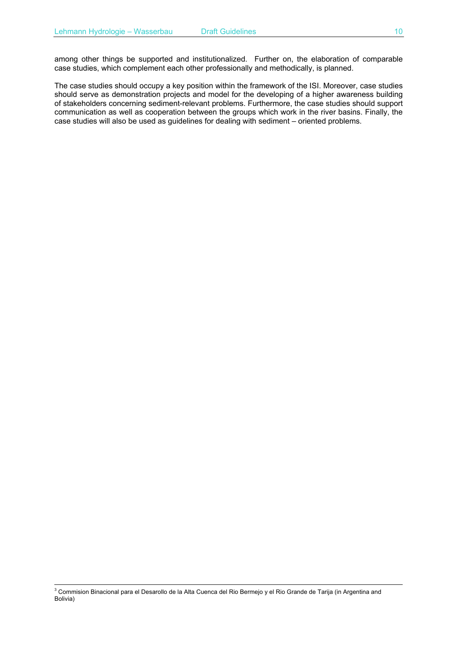among other things be supported and institutionalized. Further on, the elaboration of comparable case studies, which complement each other professionally and methodically, is planned.

The case studies should occupy a key position within the framework of the ISI. Moreover, case studies should serve as demonstration projects and model for the developing of a higher awareness building of stakeholders concerning sediment-relevant problems. Furthermore, the case studies should support communication as well as cooperation between the groups which work in the river basins. Finally, the case studies will also be used as guidelines for dealing with sediment – oriented problems.

<sup>-&</sup>lt;br>3 Commision Binacional para el Desarollo de la Alta Cuenca del Rio Bermejo y el Rio Grande de Tarija (in Argentina and Bolivia)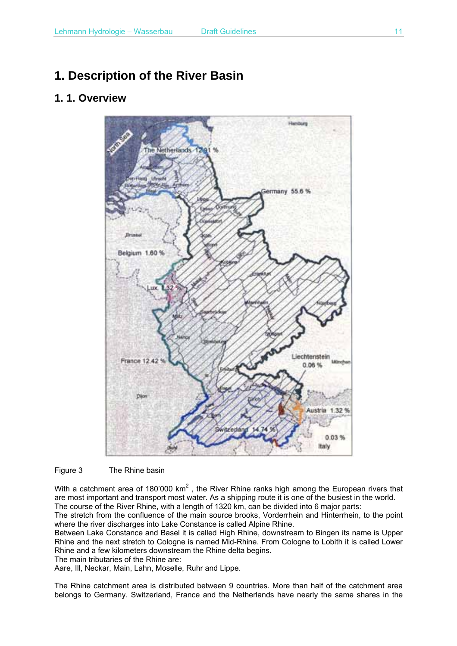# **1. Description of the River Basin**

## **1. 1. Overview**



Figure 3 The Rhine basin

With a catchment area of 180'000 km<sup>2</sup>, the River Rhine ranks high among the European rivers that are most important and transport most water. As a shipping route it is one of the busiest in the world. The course of the River Rhine, with a length of 1320 km, can be divided into 6 major parts:

The stretch from the confluence of the main source brooks, Vorderrhein and Hinterrhein, to the point where the river discharges into Lake Constance is called Alpine Rhine.

Between Lake Constance and Basel it is called High Rhine, downstream to Bingen its name is Upper Rhine and the next stretch to Cologne is named Mid-Rhine. From Cologne to Lobith it is called Lower Rhine and a few kilometers downstream the Rhine delta begins.

The main tributaries of the Rhine are:

Aare, Ill, Neckar, Main, Lahn, Moselle, Ruhr and Lippe.

The Rhine catchment area is distributed between 9 countries. More than half of the catchment area belongs to Germany. Switzerland, France and the Netherlands have nearly the same shares in the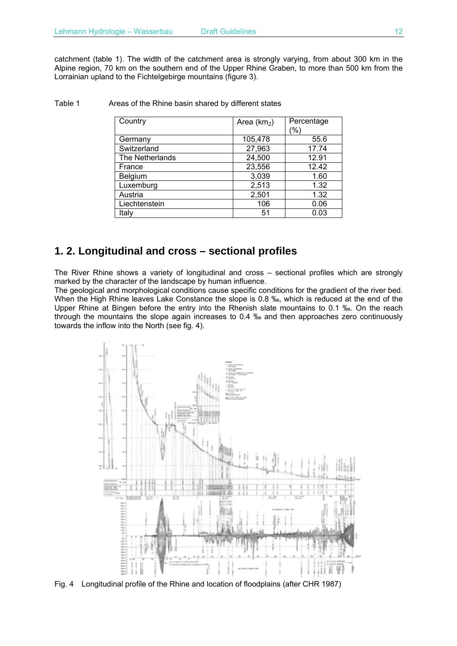catchment (table 1). The width of the catchment area is strongly varying, from about 300 km in the Alpine region, 70 km on the southern end of the Upper Rhine Graben, to more than 500 km from the Lorrainian upland to the Fichtelgebirge mountains (figure 3).

| Country         | Area $(km2)$ | Percentage |
|-----------------|--------------|------------|
|                 |              | $(\%)$     |
| Germany         | 105,478      | 55.6       |
| Switzerland     | 27,963       | 17.74      |
| The Netherlands | 24,500       | 12.91      |
| France          | 23,556       | 12.42      |
| Belgium         | 3,039        | 1.60       |
| Luxemburg       | 2,513        | 1.32       |
| Austria         | 2,501        | 1.32       |
| Liechtenstein   | 106          | 0.06       |
| Italy           | 51           | 0.03       |

#### Table 1 Areas of the Rhine basin shared by different states

## **1. 2. Longitudinal and cross – sectional profiles**

The River Rhine shows a variety of longitudinal and cross – sectional profiles which are strongly marked by the character of the landscape by human influence.

The geological and morphological conditions cause specific conditions for the gradient of the river bed. When the High Rhine leaves Lake Constance the slope is 0.8 ‰, which is reduced at the end of the Upper Rhine at Bingen before the entry into the Rhenish slate mountains to 0.1 ‰. On the reach through the mountains the slope again increases to 0.4 ‰ and then approaches zero continuously towards the inflow into the North (see fig. 4).



Fig. 4 Longitudinal profile of the Rhine and location of floodplains (after CHR 1987)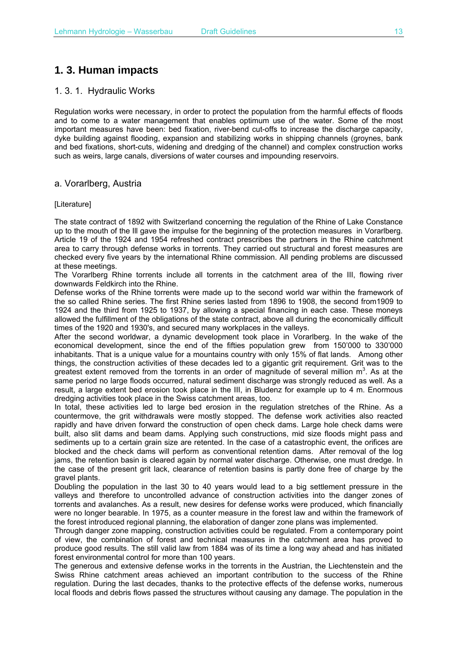# **1. 3. Human impacts**

## 1. 3. 1. Hydraulic Works

Regulation works were necessary, in order to protect the population from the harmful effects of floods and to come to a water management that enables optimum use of the water. Some of the most important measures have been: bed fixation, river-bend cut-offs to increase the discharge capacity, dyke building against flooding, expansion and stabilizing works in shipping channels (groynes, bank and bed fixations, short-cuts, widening and dredging of the channel) and complex construction works such as weirs, large canals, diversions of water courses and impounding reservoirs.

## a. Vorarlberg, Austria

### [Literature]

The state contract of 1892 with Switzerland concerning the regulation of the Rhine of Lake Constance up to the mouth of the Ill gave the impulse for the beginning of the protection measures in Vorarlberg. Article 19 of the 1924 and 1954 refreshed contract prescribes the partners in the Rhine catchment area to carry through defense works in torrents. They carried out structural and forest measures are checked every five years by the international Rhine commission. All pending problems are discussed at these meetings.

The Vorarlberg Rhine torrents include all torrents in the catchment area of the III, flowing river downwards Feldkirch into the Rhine.

Defense works of the Rhine torrents were made up to the second world war within the framework of the so called Rhine series. The first Rhine series lasted from 1896 to 1908, the second from1909 to 1924 and the third from 1925 to 1937, by allowing a special financing in each case. These moneys allowed the fulfillment of the obligations of the state contract, above all during the economically difficult times of the 1920 and 1930's, and secured many workplaces in the valleys.

After the second worldwar, a dynamic development took place in Vorarlberg. In the wake of the economical development, since the end of the fifties population grew from 150'000 to 330'000 inhabitants. That is a unique value for a mountains country with only 15% of flat lands. Among other things, the construction activities of these decades led to a gigantic grit requirement. Grit was to the greatest extent removed from the torrents in an order of magnitude of several million  $m^3$ . As at the same period no large floods occurred, natural sediment discharge was strongly reduced as well. As a result, a large extent bed erosion took place in the III, in Bludenz for example up to 4 m. Enormous dredging activities took place in the Swiss catchment areas, too.

In total, these activities led to large bed erosion in the regulation stretches of the Rhine. As a countermove, the grit withdrawals were mostly stopped. The defense work activities also reacted rapidly and have driven forward the construction of open check dams. Large hole check dams were built, also slit dams and beam dams. Applying such constructions, mid size floods might pass and sediments up to a certain grain size are retented. In the case of a catastrophic event, the orifices are blocked and the check dams will perform as conventional retention dams. After removal of the log jams, the retention basin is cleared again by normal water discharge. Otherwise, one must dredge. In the case of the present grit lack, clearance of retention basins is partly done free of charge by the gravel plants.

Doubling the population in the last 30 to 40 years would lead to a big settlement pressure in the valleys and therefore to uncontrolled advance of construction activities into the danger zones of torrents and avalanches. As a result, new desires for defense works were produced, which financially were no longer bearable. In 1975, as a counter measure in the forest law and within the framework of the forest introduced regional planning, the elaboration of danger zone plans was implemented.

Through danger zone mapping, construction activities could be regulated. From a contemporary point of view, the combination of forest and technical measures in the catchment area has proved to produce good results. The still valid law from 1884 was of its time a long way ahead and has initiated forest environmental control for more than 100 years.

The generous and extensive defense works in the torrents in the Austrian, the Liechtenstein and the Swiss Rhine catchment areas achieved an important contribution to the success of the Rhine regulation. During the last decades, thanks to the protective effects of the defense works, numerous local floods and debris flows passed the structures without causing any damage. The population in the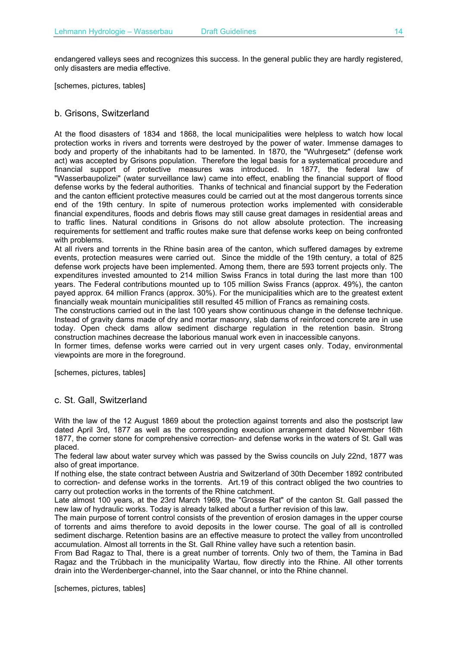endangered valleys sees and recognizes this success. In the general public they are hardly registered, only disasters are media effective.

[schemes, pictures, tables]

### b. Grisons, Switzerland

At the flood disasters of 1834 and 1868, the local municipalities were helpless to watch how local protection works in rivers and torrents were destroyed by the power of water. Immense damages to body and property of the inhabitants had to be lamented. In 1870, the "Wuhrgesetz" (defense work act) was accepted by Grisons population. Therefore the legal basis for a systematical procedure and financial support of protective measures was introduced. In 1877, the federal law of "Wasserbaupolizei" (water surveillance law) came into effect, enabling the financial support of flood defense works by the federal authorities. Thanks of technical and financial support by the Federation and the canton efficient protective measures could be carried out at the most dangerous torrents since end of the 19th century. In spite of numerous protection works implemented with considerable financial expenditures, floods and debris flows may still cause great damages in residential areas and to traffic lines. Natural conditions in Grisons do not allow absolute protection. The increasing requirements for settlement and traffic routes make sure that defense works keep on being confronted with problems.

At all rivers and torrents in the Rhine basin area of the canton, which suffered damages by extreme events, protection measures were carried out. Since the middle of the 19th century, a total of 825 defense work projects have been implemented. Among them, there are 593 torrent projects only. The expenditures invested amounted to 214 million Swiss Francs in total during the last more than 100 years. The Federal contributions mounted up to 105 million Swiss Francs (approx. 49%), the canton payed approx. 64 million Francs (approx. 30%). For the municipalities which are to the greatest extent financially weak mountain municipalities still resulted 45 million of Francs as remaining costs.

The constructions carried out in the last 100 years show continuous change in the defense technique. Instead of gravity dams made of dry and mortar masonry, slab dams of reinforced concrete are in use today. Open check dams allow sediment discharge regulation in the retention basin. Strong construction machines decrease the laborious manual work even in inaccessible canyons.

In former times, defense works were carried out in very urgent cases only. Today, environmental viewpoints are more in the foreground.

[schemes, pictures, tables]

### c. St. Gall, Switzerland

With the law of the 12 August 1869 about the protection against torrents and also the postscript law dated April 3rd, 1877 as well as the corresponding execution arrangement dated November 16th 1877, the corner stone for comprehensive correction- and defense works in the waters of St. Gall was placed.

The federal law about water survey which was passed by the Swiss councils on July 22nd, 1877 was also of great importance.

If nothing else, the state contract between Austria and Switzerland of 30th December 1892 contributed to correction- and defense works in the torrents. Art.19 of this contract obliged the two countries to carry out protection works in the torrents of the Rhine catchment.

Late almost 100 years, at the 23rd March 1969, the "Grosse Rat" of the canton St. Gall passed the new law of hydraulic works. Today is already talked about a further revision of this law.

The main purpose of torrent control consists of the prevention of erosion damages in the upper course of torrents and aims therefore to avoid deposits in the lower course. The goal of all is controlled sediment discharge. Retention basins are an effective measure to protect the valley from uncontrolled accumulation. Almost all torrents in the St. Gall Rhine valley have such a retention basin.

From Bad Ragaz to Thal, there is a great number of torrents. Only two of them, the Tamina in Bad Ragaz and the Trübbach in the municipality Wartau, flow directly into the Rhine. All other torrents drain into the Werdenberger-channel, into the Saar channel, or into the Rhine channel.

[schemes, pictures, tables]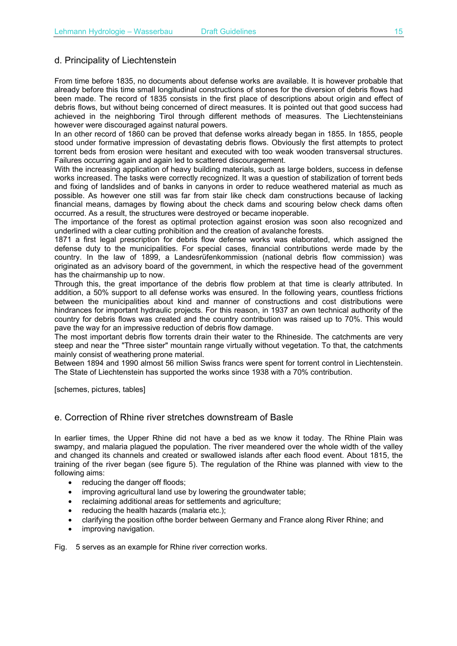## d. Principality of Liechtenstein

From time before 1835, no documents about defense works are available. It is however probable that already before this time small longitudinal constructions of stones for the diversion of debris flows had been made. The record of 1835 consists in the first place of descriptions about origin and effect of debris flows, but without being concerned of direct measures. It is pointed out that good success had achieved in the neighboring Tirol through different methods of measures. The Liechtensteinians however were discouraged against natural powers.

In an other record of 1860 can be proved that defense works already began in 1855. In 1855, people stood under formative impression of devastating debris flows. Obviously the first attempts to protect torrent beds from erosion were hesitant and executed with too weak wooden transversal structures. Failures occurring again and again led to scattered discouragement.

With the increasing application of heavy building materials, such as large bolders, success in defense works increased. The tasks were correctly recognized. It was a question of stabilization of torrent beds and fixing of landslides and of banks in canyons in order to reduce weathered material as much as possible. As however one still was far from stair like check dam constructions because of lacking financial means, damages by flowing about the check dams and scouring below check dams often occurred. As a result, the structures were destroyed or became inoperable.

The importance of the forest as optimal protection against erosion was soon also recognized and underlined with a clear cutting prohibition and the creation of avalanche forests.

1871 a first legal prescription for debris flow defense works was elaborated, which assigned the defense duty to the municipalities. For special cases, financial contributions werde made by the country. In the law of 1899, a Landesrüfenkommission (national debris flow commission) was originated as an advisory board of the government, in which the respective head of the government has the chairmanship up to now.

Through this, the great importance of the debris flow problem at that time is clearly attributed. In addition, a 50% support to all defense works was ensured. In the following years, countless frictions between the municipalities about kind and manner of constructions and cost distributions were hindrances for important hydraulic projects. For this reason, in 1937 an own technical authority of the country for debris flows was created and the country contribution was raised up to 70%. This would pave the way for an impressive reduction of debris flow damage.

The most important debris flow torrents drain their water to the Rhineside. The catchments are very steep and near the "Three sister" mountain range virtually without vegetation. To that, the catchments mainly consist of weathering prone material.

Between 1894 and 1990 almost 56 million Swiss francs were spent for torrent control in Liechtenstein. The State of Liechtenstein has supported the works since 1938 with a 70% contribution.

[schemes, pictures, tables]

## e. Correction of Rhine river stretches downstream of Basle

In earlier times, the Upper Rhine did not have a bed as we know it today. The Rhine Plain was swampy, and malaria plagued the population. The river meandered over the whole width of the valley and changed its channels and created or swallowed islands after each flood event. About 1815, the training of the river began (see figure 5). The regulation of the Rhine was planned with view to the following aims:

- reducing the danger off floods;
- improving agricultural land use by lowering the groundwater table;
- reclaiming additional areas for settlements and agriculture;
- reducing the health hazards (malaria etc.);
- clarifying the position ofthe border between Germany and France along River Rhine; and
- improving navigation.

Fig. 5 serves as an example for Rhine river correction works.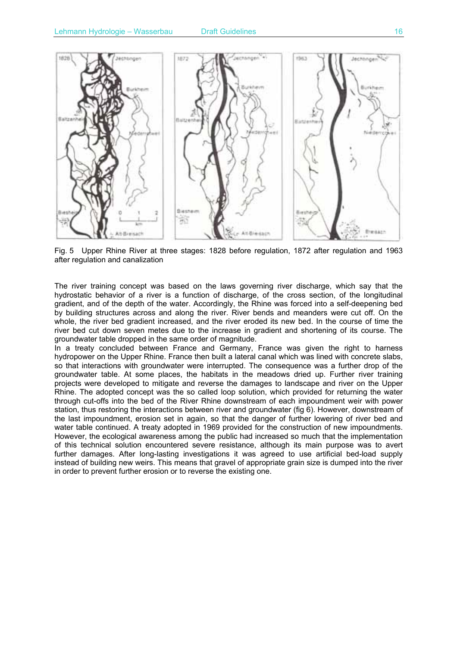

Fig. 5 Upper Rhine River at three stages: 1828 before regulation, 1872 after regulation and 1963 after regulation and canalization

The river training concept was based on the laws governing river discharge, which say that the hydrostatic behavior of a river is a function of discharge, of the cross section, of the longitudinal gradient, and of the depth of the water. Accordingly, the Rhine was forced into a self-deepening bed by building structures across and along the river. River bends and meanders were cut off. On the whole, the river bed gradient increased, and the river eroded its new bed. In the course of time the river bed cut down seven metes due to the increase in gradient and shortening of its course. The groundwater table dropped in the same order of magnitude.

In a treaty concluded between France and Germany, France was given the right to harness hydropower on the Upper Rhine. France then built a lateral canal which was lined with concrete slabs, so that interactions with groundwater were interrupted. The consequence was a further drop of the groundwater table. At some places, the habitats in the meadows dried up. Further river training projects were developed to mitigate and reverse the damages to landscape and river on the Upper Rhine. The adopted concept was the so called loop solution, which provided for returning the water through cut-offs into the bed of the River Rhine downstream of each impoundment weir with power station, thus restoring the interactions between river and groundwater (fig 6). However, downstream of the last impoundment, erosion set in again, so that the danger of further lowering of river bed and water table continued. A treaty adopted in 1969 provided for the construction of new impoundments. However, the ecological awareness among the public had increased so much that the implementation of this technical solution encountered severe resistance, although its main purpose was to avert further damages. After long-lasting investigations it was agreed to use artificial bed-load supply instead of building new weirs. This means that gravel of appropriate grain size is dumped into the river in order to prevent further erosion or to reverse the existing one.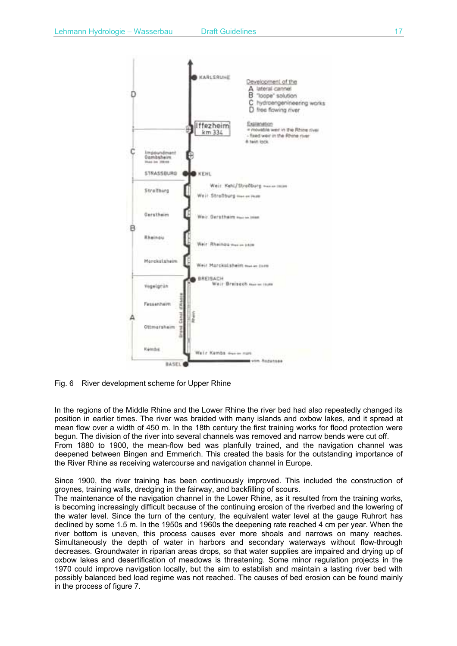



Fig. 6 River development scheme for Upper Rhine

In the regions of the Middle Rhine and the Lower Rhine the river bed had also repeatedly changed its position in earlier times. The river was braided with many islands and oxbow lakes, and it spread at mean flow over a width of 450 m. In the 18th century the first training works for flood protection were begun. The division of the river into several channels was removed and narrow bends were cut off. From 1880 to 1900, the mean-flow bed was planfully trained, and the navigation channel was

deepened between Bingen and Emmerich. This created the basis for the outstanding importance of the River Rhine as receiving watercourse and navigation channel in Europe.

Since 1900, the river training has been continuously improved. This included the construction of groynes, training walls, dredging in the fairway, and backfilling of scours.

The maintenance of the navigation channel in the Lower Rhine, as it resulted from the training works, is becoming increasingly difficult because of the continuing erosion of the riverbed and the lowering of the water level. Since the turn of the century, the equivalent water level at the gauge Ruhrort has declined by some 1.5 m. In the 1950s and 1960s the deepening rate reached 4 cm per year. When the river bottom is uneven, this process causes ever more shoals and narrows on many reaches. Simultaneously the depth of water in harbors and secondary waterways without flow-through decreases. Groundwater in riparian areas drops, so that water supplies are impaired and drying up of oxbow lakes and desertification of meadows is threatening. Some minor regulation projects in the 1970 could improve navigation locally, but the aim to establish and maintain a lasting river bed with possibly balanced bed load regime was not reached. The causes of bed erosion can be found mainly in the process of figure 7.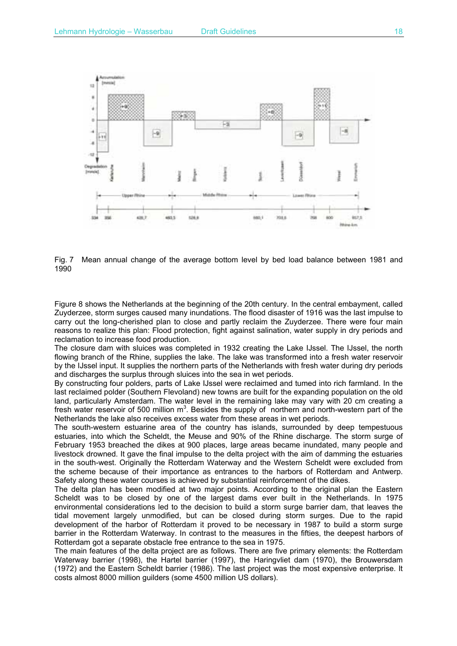

Fig. 7 Mean annual change of the average bottom level by bed load balance between 1981 and 1990

Figure 8 shows the Netherlands at the beginning of the 20th century. In the central embayment, called Zuyderzee, storm surges caused many inundations. The flood disaster of 1916 was the last impulse to carry out the long-cherished plan to close and partly reclaim the Zuyderzee. There were four main reasons to realize this plan: Flood protection, fight against salination, water supply in dry periods and reclamation to increase food production.

The closure dam with sluices was completed in 1932 creating the Lake IJssel. The IJssel, the north flowing branch of the Rhine, supplies the lake. The lake was transformed into a fresh water reservoir by the IJssel input. It supplies the northern parts of the Netherlands with fresh water during dry periods and discharges the surplus through sluices into the sea in wet periods.

By constructing four polders, parts of Lake IJssel were reclaimed and tumed into rich farmland. In the last reclaimed polder (Southern Flevoland) new towns are built for the expanding population on the old land, particularly Amsterdam. The water level in the remaining lake may vary with 20 cm creating a fresh water reservoir of 500 million  $m^3$ . Besides the supply of northern and north-western part of the Netherlands the lake also receives excess water from these areas in wet periods.

The south-western estuarine area of the country has islands, surrounded by deep tempestuous estuaries, into which the Scheldt, the Meuse and 90% of the Rhine discharge. The storm surge of February 1953 breached the dikes at 900 places, large areas became inundated, many people and livestock drowned. It gave the final impulse to the delta project with the aim of damming the estuaries in the south-west. Originally the Rotterdam Waterway and the Western Scheldt were excluded from the scheme because of their importance as entrances to the harbors of Rotterdam and Antwerp. Safety along these water courses is achieved by substantial reinforcement of the dikes.

The delta plan has been modified at two major points. According to the original plan the Eastern Scheldt was to be closed by one of the largest dams ever built in the Netherlands. In 1975 environmental considerations led to the decision to build a storm surge barrier dam, that leaves the tidal movement largely unmodified, but can be closed during storm surges. Due to the rapid development of the harbor of Rotterdam it proved to be necessary in 1987 to build a storm surge barrier in the Rotterdam Waterway. In contrast to the measures in the fifties, the deepest harbors of Rotterdam got a separate obstacle free entrance to the sea in 1975.

The main features of the delta project are as follows. There are five primary elements: the Rotterdam Waterway barrier (1998), the Hartel barrier (1997), the Haringvliet dam (1970), the Brouwersdam (1972) and the Eastern Scheldt barrier (1986). The last project was the most expensive enterprise. It costs almost 8000 million guilders (some 4500 million US dollars).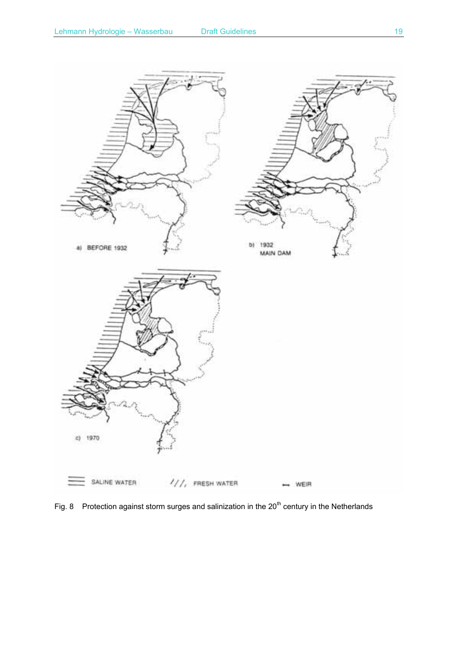

Fig. 8 Protection against storm surges and salinization in the  $20<sup>th</sup>$  century in the Netherlands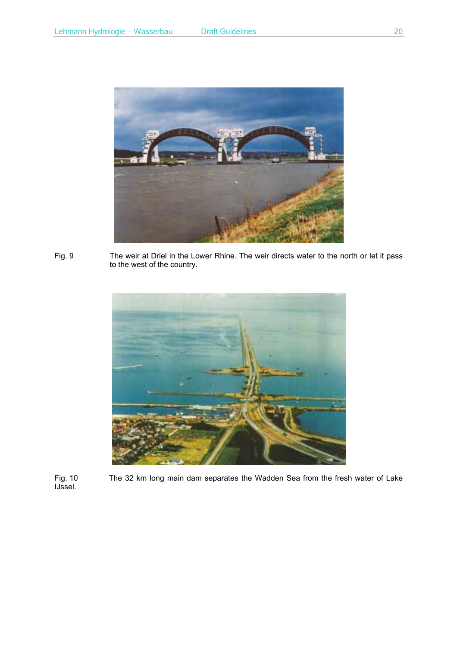

Fig. 9 The weir at Driel in the Lower Rhine. The weir directs water to the north or let it pass to the west of the country.



The 32 km long main dam separates the Wadden Sea from the fresh water of Lake Fig. 10<br>IJssel.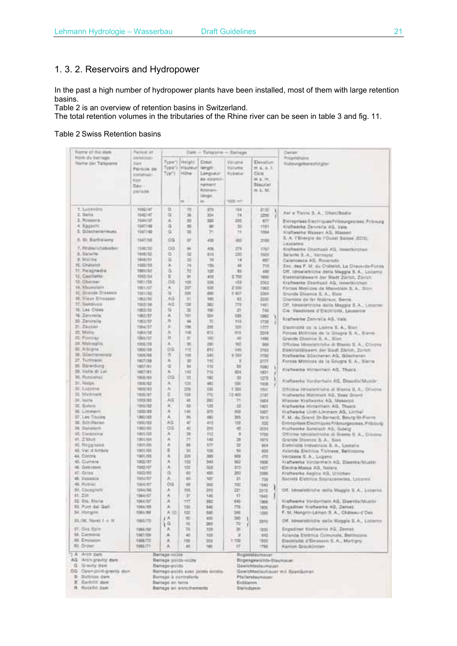## 1. 3. 2. Reservoirs and Hydropower

In the past a high number of hydropower plants have been installed, most of them with large retention basins.

Table 2 is an overview of retention basins in Switzerland.

The total retention volumes in the tributaries of the Rhine river can be seen in table 3 and fig. 11.

### Table 2 Swiss Retention basins

| filame of the dare                                                                                                                               | Person of                                                                         | Danc .- Talapane - Banage                                                                                                            |                                   |                                                                                        |                                           |                                                                                                                             |                          | <b>Darber:</b>                                                                                  |  |  |  |
|--------------------------------------------------------------------------------------------------------------------------------------------------|-----------------------------------------------------------------------------------|--------------------------------------------------------------------------------------------------------------------------------------|-----------------------------------|----------------------------------------------------------------------------------------|-------------------------------------------|-----------------------------------------------------------------------------------------------------------------------------|--------------------------|-------------------------------------------------------------------------------------------------|--|--|--|
| <b>Ninh du Serrago</b><br>Name our Talaperre                                                                                                     | DENSITY/ID-<br><b>SUN</b><br>Périoda de<br>construit-<br>tize:<br>Bau-<br>parioda | Typ") Hilbe                                                                                                                          | Type"  Helght<br>Type") (Hauteur) | Crest<br>length.<br>Longueur<br><b>BM ODUNEN</b><br>Nement<br>Kironan-<br>(Ghigh)<br>m | Valueva<br>Valume<br>Kidatat<br>1920 Pell | Elevelize:<br>271, 8, 4, 1, 1, 1<br>Cate:<br>無主 元<br>Blaccief.<br>$m \equiv M$                                              |                          | Propriétaire.<br><b>Wultungsberechtigter</b>                                                    |  |  |  |
| Y. Lazemins                                                                                                                                      | <b>RS42147</b>                                                                    | 匠                                                                                                                                    | 73                                | 272                                                                                    | 154                                       | 2133                                                                                                                        |                          | Asr e Tizini S. A. Olten/Bodis                                                                  |  |  |  |
| $2.5+54$<br>2. Pickstock                                                                                                                         | <b>SIME/AT</b><br>1044/47                                                         | a                                                                                                                                    | $\mathbf{m}$                      | 334<br>321                                                                             | 74                                        | 2298                                                                                                                        |                          |                                                                                                 |  |  |  |
| 4. Eggschi.                                                                                                                                      | 1947,149                                                                          | A.<br>a                                                                                                                              | 35<br>55                          | m                                                                                      | 255<br>35                                 | 677<br>1151                                                                                                                 |                          | Entreprises Electriques Pribburgeoises. Pribourg.<br>Kraftwerke Zervreita AG, Vals.             |  |  |  |
| 3. Güscherreritruss                                                                                                                              | 1047740                                                                           | Œ                                                                                                                                    | 35                                | T1                                                                                     | Ħ                                         | 9054                                                                                                                        |                          | Kraftwerke Wessen AG, Wassen.                                                                   |  |  |  |
| E. St. Barthslierry                                                                                                                              | 1947,753                                                                          | OG                                                                                                                                   | u                                 | 420                                                                                    | <b>AGST</b>                               | 2183                                                                                                                        |                          | 5. A. TEnergie du l'Ouxel Salase (EOS).                                                         |  |  |  |
|                                                                                                                                                  |                                                                                   |                                                                                                                                      |                                   |                                                                                        |                                           |                                                                                                                             |                          | Lausance:                                                                                       |  |  |  |
| 7. Finanerischeboder<br>5. Salaite.                                                                                                              | 1348/30<br>1948/32                                                                | OQ<br>α                                                                                                                              | 94<br>塇                           | 416<br>815                                                                             | 279<br>130                                | <b>ETG</b><br>1125                                                                                                          |                          | Kraftwerke Dbayhusii AS, insertkirchus.                                                         |  |  |  |
| B. Matina                                                                                                                                        | 1948/81                                                                           | a                                                                                                                                    | 38                                | m                                                                                      | 14                                        | <b>AST</b>                                                                                                                  |                          | Salarde S.A., Vernoyad<br>Calancasca AGI Roversde                                               |  |  |  |
| 10. IDNINNE                                                                                                                                      | 1030/13                                                                           | ă,                                                                                                                                   | 74                                | 155                                                                                    | $\alpha$                                  | 719                                                                                                                         |                          | Soc. des F. M. du Chinelot, La Chaus-de-Fores                                                   |  |  |  |
| 11. Palagnedra.                                                                                                                                  | 1003/92                                                                           | ű                                                                                                                                    | n                                 | 120                                                                                    | 75                                        | 488                                                                                                                         |                          | Off. Istroeletsiche stelle Maggia S. A., Locerne                                                |  |  |  |
| 12. Castiletto<br><b>12. Obersar</b>                                                                                                             | 1002/54                                                                           | 里<br>OG                                                                                                                              | $\frac{d}{2}$                     | 435                                                                                    | 2.703                                     | TRIC.                                                                                                                       |                          | Electrizitäteesric der Stadt Zürich, Zürich                                                     |  |  |  |
| 14. Maprolain                                                                                                                                    | 1051733<br>1901/37                                                                | A.                                                                                                                                   | 100<br>257                        | 526<br>520                                                                             | $-23$<br>2:200                            | 2503<br>1962                                                                                                                |                          | Kraftwerke Oberflasti AG, innertkirchen                                                         |  |  |  |
| <b>IS. Grande Dixence</b>                                                                                                                        | 1981.002                                                                          | O.                                                                                                                                   | 25%                               | 695                                                                                    | 9 967                                     | 2364                                                                                                                        |                          | Forces Metrices de Mauvolain S. A., Sinn<br>Grande Divenue S. A., Slow                          |  |  |  |
| HL Vieux Eltresson                                                                                                                               | 1002/95                                                                           | 西瓜                                                                                                                                   | $\pm$                             | 183                                                                                    | 业                                         | 2225                                                                                                                        |                          | Chemina de fer fédéraux, Berrie,                                                                |  |  |  |
| TT:TamBicco                                                                                                                                      | 1303/18                                                                           | AG.                                                                                                                                  | tat                               | 363                                                                                    | m                                         | 1401                                                                                                                        |                          | Off. Idroeletriche datte Maggia S.A., Liccarne                                                  |  |  |  |
| 15. Les Class<br>10 Zervisita                                                                                                                    | 1953.118                                                                          | ū<br>×                                                                                                                               | ×                                 | 100                                                                                    | 21                                        | 743                                                                                                                         |                          | Cle. Vaudolees of Electricité, Leunarche                                                        |  |  |  |
| 22 Zanmile                                                                                                                                       | 1003/57<br>1003/67                                                                | $\mathbb{R}$                                                                                                                         | têr<br>44                         | 504<br>国                                                                               | 123<br>T13                                | 1062<br>1725                                                                                                                | ٦<br>л                   | Krattwerke Zervralla AG, Vals                                                                   |  |  |  |
| $T1$ . $Z$ a group                                                                                                                               | 1954/57                                                                           | p,                                                                                                                                   | 156                               | 200                                                                                    | 320                                       | 1777                                                                                                                        |                          | Electricità su la Listina S. A., Sierr                                                          |  |  |  |
| 22: Mairy                                                                                                                                        | 1954/58                                                                           | À                                                                                                                                    | 1.9                               | 前加                                                                                     | 原語                                        | 3219                                                                                                                        |                          | Forces Motilces do la Gougla S.A., Siene                                                        |  |  |  |
| 22. Fielding                                                                                                                                     | 1966/57                                                                           | 貢                                                                                                                                    | $\mathcal{M}$                     | 100                                                                                    | $-40$                                     | 1405                                                                                                                        |                          | Grande Dixence S.A., Silon                                                                      |  |  |  |
| 24 Malyagila                                                                                                                                     | 1056/39                                                                           | A.                                                                                                                                   | m                                 | 200                                                                                    | nez                                       | 300                                                                                                                         |                          | Officies Missistriche di Blanc S. A., Clivene                                                   |  |  |  |
| 25. Altright.<br>25. GOschenstatti                                                                                                               | 1950-159<br>1356, 92                                                              | CG.<br>ĸ                                                                                                                             | <b>TIE</b><br>138                 | 图片<br>540                                                                              | HS<br>15.362                              | 2763<br>1782                                                                                                                |                          | Elektriziblikwerk der Stadt Zürich, Zürich<br>Kraftwerke Göschenen AG, Göschenen                |  |  |  |
| 27. Turimann                                                                                                                                     | 1957/58                                                                           | A.                                                                                                                                   | 世                                 | 130                                                                                    | э                                         | 2133                                                                                                                        |                          | Forces Motrices de la Gougra S. A., Slatra                                                      |  |  |  |
| 20. Särerburg                                                                                                                                    | 1007/83                                                                           | ÷                                                                                                                                    | 54                                | 110                                                                                    | 11                                        | saw.                                                                                                                        | ٠                        | Krafteeree Hirterrheit AG, Thusis                                                               |  |  |  |
| 29. Valle (8) Lat.                                                                                                                               | 1057/81                                                                           | a,                                                                                                                                   | 143                               | 712                                                                                    | <b>R34</b>                                | 1937.                                                                                                                       | ı                        |                                                                                                 |  |  |  |
| 30. Rundalhas                                                                                                                                    | 1918-163                                                                          | ou                                                                                                                                   | 3f                                | 180                                                                                    | 33                                        | 1278                                                                                                                        | à.                       | Kraftwerke Yundarrhaln AG, Disentia/Mussin                                                      |  |  |  |
| 31. Nates<br>30: Lutrane                                                                                                                         | 1958/62<br>1950/63                                                                | A.<br>×                                                                                                                              | 108<br>$\equiv$                   | 481<br>630                                                                             | 186<br>$t$ 231                            | 1000<br>TRET                                                                                                                | $\overline{\phantom{a}}$ | Officina titraelartriche al Illienio S.A., Olivona-                                             |  |  |  |
| 33. MacErnark                                                                                                                                    | 1955/67                                                                           | E.                                                                                                                                   | 128                               | 270                                                                                    | 10,400                                    | 216f                                                                                                                        |                          | Kivitwerke Matonark AG, Seas Grund                                                              |  |  |  |
| 34. Fairfe                                                                                                                                       | 1000/00                                                                           | AG                                                                                                                                   | $\blacksquare$                    | 200                                                                                    | TI.                                       | liditit                                                                                                                     |                          | Missoar Kraftwerke AG, Mesocco                                                                  |  |  |  |
| 20. Sulare                                                                                                                                       | 1203/02                                                                           | ×                                                                                                                                    | $^{12}$                           | 125                                                                                    | 吉                                         | 1,401                                                                                                                       |                          | Kraftwerke Hirdsrittein AG, Thusts                                                              |  |  |  |
| 20. Limmers<br>37. Lee Toures                                                                                                                    | 1093/83                                                                           | A<br>友                                                                                                                               | 148<br>16                         | 375<br>483                                                                             | 850<br>255                                | 1267                                                                                                                        |                          | Kraftwerke Linth-Limmarn AQ, Linthali                                                           |  |  |  |
| 38. Schilteries                                                                                                                                  | 1960/83<br>1990/83                                                                | AG.                                                                                                                                  | u                                 | 415                                                                                    | 153.                                      | 1812<br>532                                                                                                                 |                          | F. M. du Grant St-Bernard, Bourg-St-Frenni.<br>Entraprises Electriques Fribourgeoisse, Fribourg |  |  |  |
| 39. Sarytoch                                                                                                                                     | 1200/03                                                                           | OG                                                                                                                                   | 电                                 | 210                                                                                    | 唯                                         | 2034                                                                                                                        |                          | Kraftwerke Sandrach AG, Gsteig                                                                  |  |  |  |
| 43. Cirransina                                                                                                                                   | 1001203                                                                           | ×                                                                                                                                    | <b>39</b>                         | <b>YEZ</b>                                                                             | ×                                         | 1700                                                                                                                        |                          | Oticine tonislativitie di Bianto S.A., Clivone                                                  |  |  |  |
| 41. 2"Mult                                                                                                                                       | 1901/04                                                                           | ×<br>A                                                                                                                               | Ħ<br>irt                          | 141<br>thy                                                                             | 罩                                         | HOD                                                                                                                         |                          | Grande Donnico S. A., Sign                                                                      |  |  |  |
| AZ: Ruggisaus<br>43. Val. it Ambox                                                                                                               | TBD1/85<br>TRUT/GS                                                                | Ħ                                                                                                                                    | m                                 | 105                                                                                    | 22<br>31                                  | 934<br>401                                                                                                                  |                          | Elettricità Industrisie S. A., Lostatis<br>Azienda Elettica Tickiese, Bellingona                |  |  |  |
| 44. Contra                                                                                                                                       | 1901/95                                                                           | 亩                                                                                                                                    | 225                               | 385                                                                                    | <b>ASE</b>                                | 476                                                                                                                         |                          | VIHENDOR S. A., LUDING                                                                          |  |  |  |
| Kl. Cumara                                                                                                                                       | 1902/67                                                                           | A                                                                                                                                    | <b>SIZ</b>                        | 040                                                                                    | 352                                       | 1900                                                                                                                        |                          | Fireftwerke Vorzanthein AG, Disentia/Muster                                                     |  |  |  |
| at. Gebidem                                                                                                                                      | 1262/67                                                                           | A                                                                                                                                    | 121                               | 0.05                                                                                   | mo                                        | 1437                                                                                                                        |                          | Electra-Massa AG, Naters                                                                        |  |  |  |
| 47: Gridd.<br>48: Vasence                                                                                                                        | 1203/80<br>1954/87                                                                | n.<br>×                                                                                                                              | 63<br>85                          | 400<br>ter                                                                             | 260<br>21                                 | 2386<br>701                                                                                                                 |                          | Kraftwerke Aegina AG, Unionen<br>Società Elettrica Septabbrecha, Listame.                       |  |  |  |
| 45. Pittsbiel                                                                                                                                    | TRIATEZ                                                                           | os                                                                                                                                   | 材                                 | 355                                                                                    | 152                                       | 1943                                                                                                                        |                          |                                                                                                 |  |  |  |
| 55. Cavagneti                                                                                                                                    | 1954/68                                                                           | ×                                                                                                                                    | <b>foot</b>                       | 310                                                                                    | 221                                       | 2318                                                                                                                        |                          | Off. Idroelettriche oella Maggia S.A., Losania.                                                 |  |  |  |
| 55.228                                                                                                                                           | 1964/67                                                                           | ۸                                                                                                                                    | 世                                 | 145                                                                                    | 12                                        | 1943                                                                                                                        |                          |                                                                                                 |  |  |  |
| <b>12. Dra. Marte</b><br>\$3. Punt dal Gali                                                                                                      | 1964/87                                                                           | ٨                                                                                                                                    | τtτ                               | 860                                                                                    | 10                                        | 1998                                                                                                                        |                          | Kraftwerke Vordarzhein AQ, Diaentra/Muzzár                                                      |  |  |  |
| SI. Hongaler.                                                                                                                                    | 1964.709<br>1561/98                                                               | A<br>大臣                                                                                                                              | 130<br>tar                        | 540<br>525                                                                             | 778.<br>345                               | 1806<br>1258                                                                                                                |                          | Engadiner Kraftwerke AG; Zernez<br>F. M. Hongrin-Laman S. A., Chaleau-d'Oes                     |  |  |  |
|                                                                                                                                                  |                                                                                   | FΑ                                                                                                                                   | m                                 | 43G                                                                                    | TH <sub>1</sub>                           | ٦                                                                                                                           |                          |                                                                                                 |  |  |  |
| 15, 150, Nampt 1 -1- 18                                                                                                                          | 1905/73                                                                           | í9                                                                                                                                   | 旺                                 | 365                                                                                    | m                                         | 23/12<br>×                                                                                                                  |                          | Off. Idroelattriche pelle Maggia S. A., Locarna                                                 |  |  |  |
| 57. Dua fizits<br>SE Contara                                                                                                                     | 1965/58                                                                           | ×                                                                                                                                    | TE.                               | ta                                                                                     | 25                                        | 1030                                                                                                                        |                          | Engadiner Kraftwerks AG; Zernez                                                                 |  |  |  |
| 53. Emperon                                                                                                                                      | 1967/89<br>1068/72                                                                | Ä<br>A                                                                                                                               | 40<br>100                         | 103<br>655                                                                             | $\overline{a}$<br>1.100                   | 643<br>1931                                                                                                                 |                          | Adienta Elettrica Comunsie, Belliszona<br>Electricité d'Emosson S.A., Martigny                  |  |  |  |
| 53. Ordan                                                                                                                                        | 1998.771                                                                          | ٨                                                                                                                                    | 46                                | 180                                                                                    | TF.                                       | 1795                                                                                                                        |                          | Kanton Graubürsteh                                                                              |  |  |  |
| TA Arch dam<br>AG Arch-gravity dam<br>G. Gravity dam<br>OG Open-joint-gravity dom<br>B Bultreas dam<br>E. Earthurn dam<br><b>N. Hockfill dam</b> |                                                                                   | Патаде-косте<br>Barrepe politiv volte<br><b>Barrage-poids</b><br>Bantage à contratarta<br>Barrage on term<br>Barrage an enrochements |                                   | Barrage-poids avec jnims exidés                                                        |                                           | <b>Воделятацельник</b><br>Bogengewichts-Staumssier<br>Gewichtsstaumauer<br>Pfallersfaumüusir<br>Erddamm<br><b>Steindamm</b> |                          | Gewichtschumausr mit Spattilumen                                                                |  |  |  |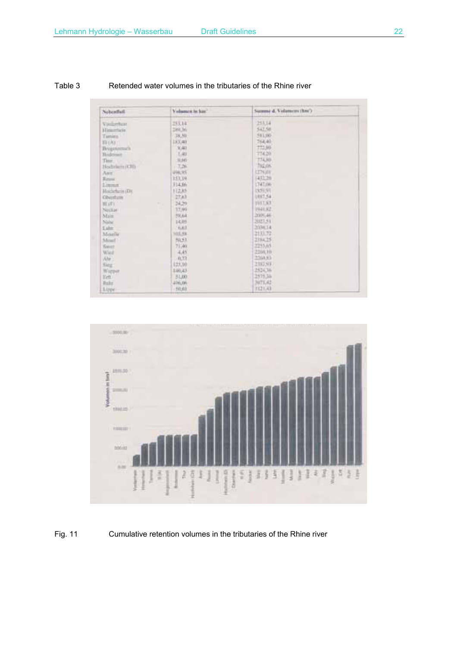| Nebenfiell.                | Volumen in hur." | Summe d. Volumers (hm?) |
|----------------------------|------------------|-------------------------|
| Vontprofuser               | 253,14           | 253,74                  |
| Himsenheim                 | 280.36           | \$47.50                 |
| Tamina 1                   | 38,80            | 581,985                 |
| THE UND !!                 | 183,40           | 764.40                  |
| Breganmach                 | X40              | 772,90                  |
| <b>Bidman</b>              | 1,40             | 774.20                  |
| Time:<br><b>CONTRACTOR</b> | 一 四 子40          | <b>T74.60</b>           |
| Hochrisch (CH)             | $-7.26$          | 752.05                  |
| <b>TELES</b><br>Aur.       | 中秋文件             | 1276,011                |
| Richard                    | 153,39           | 432.20                  |
| Limman                     | 314.8h           | LT4T.0W                 |
| Hockelsche (D)             | 112.85           | 19,91.91                |
| <b>Churchers</b>           | 27,63            | 1937.54                 |
| 用订字                        | 34,29<br>۰       | 1911.83                 |
| Neckari                    | 17,99            | 1941.92                 |
| Main                       | 79,64            | 2009-46                 |
| Neise                      | 14.05            | 2023.51                 |
| <b>Cahm!</b>               | 6.67             | 203634                  |
| Meselle                    | HIGHS.           | 2133.72                 |
| Mont                       | 50,53            | 2194.25                 |
| Kaiser.                    | 71,49.           | 2255.65                 |
| Ward                       | 4,45             | 2396.19                 |
| Ahr.                       | 0.77             | 2368.83                 |
| King.                      | 123,70           | 2383.93                 |
| Wigper                     | E40,43           | 2524,36                 |
| Erft)                      | 31,00            | 2575.34                 |
| Fish's                     | 206,00.          | NITLAZ                  |
| Lippe                      | 50.01            | FI21.43                 |

### Table 3 Retended water volumes in the tributaries of the Rhine river



## Fig. 11 Cumulative retention volumes in the tributaries of the Rhine river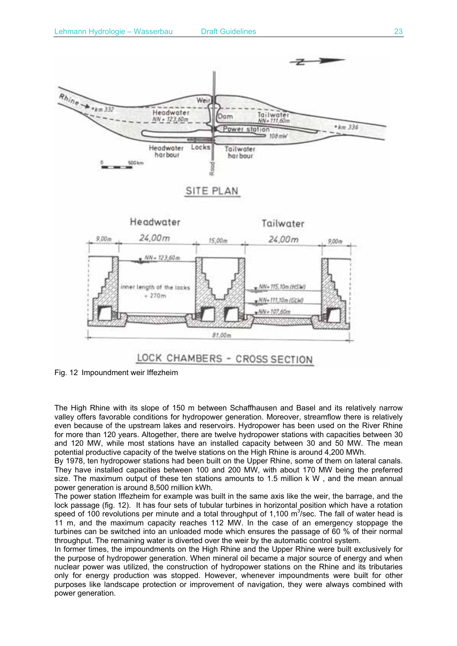

Fig. 12 Impoundment weir Iffezheim

The High Rhine with its slope of 150 m between Schaffhausen and Basel and its relatively narrow valley offers favorable conditions for hydropower generation. Moreover, streamflow there is relatively even because of the upstream lakes and reservoirs. Hydropower has been used on the River Rhine for more than 120 years. Altogether, there are twelve hydropower stations with capacities between 30 and 120 MW, while most stations have an installed capacity between 30 and 50 MW. The mean potential productive capacity of the twelve stations on the High Rhine is around 4,200 MWh.

By 1978, ten hydropower stations had been built on the Upper Rhine, some of them on lateral canals. They have installed capacities between 100 and 200 MW, with about 170 MW being the preferred size. The maximum output of these ten stations amounts to 1.5 million k W , and the mean annual power generation is around 8,500 rnillion kWh.

The power station Iffezheim for example was built in the same axis like the weir, the barrage, and the lock passage (fig. 12). It has four sets of tubular turbines in horizontal position which have a rotation speed of 100 revolutions per minute and a total throughput of 1,100  $m^3$ /sec. The fall of water head is 11 m, and the maximum capacity reaches 112 MW. In the case of an emergency stoppage the turbines can be switched into an unloaded mode which ensures the passage of 60 % of their normal throughput. The remaining water is diverted over the weir by the automatic control system.

In former times, the impoundments on the High Rhine and the Upper Rhine were built exclusively for the purpose of hydropower generation. When mineral oil became a major source of energy and when nuclear power was utilized, the construction of hydropower stations on the Rhine and its tributaries only for energy production was stopped. However, whenever impoundments were built for other purposes like landscape protection or improvement of navigation, they were always combined with power generation.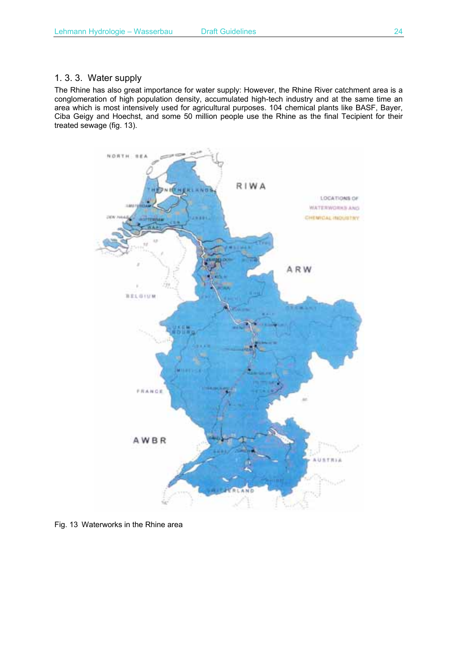## 1. 3. 3. Water supply

The Rhine has also great importance for water supply: However, the Rhine River catchment area is a conglomeration of high population density, accumulated high-tech industry and at the same time an area which is most intensively used for agricultural purposes. 104 chemical plants like BASF, Bayer, Ciba Geigy and Hoechst, and some 50 million people use the Rhine as the final Tecipient for their treated sewage (fig. 13).



Fig. 13 Waterworks in the Rhine area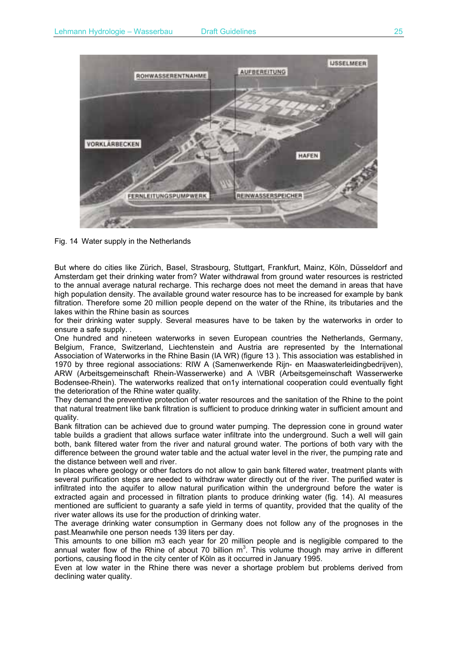

Fig. 14 Water supply in the Netherlands

But where do cities like Zürich, Basel, Strasbourg, Stuttgart, Frankfurt, Mainz, Köln, Düsseldorf and Amsterdam get their drinking water from? Water withdrawal from ground water resources is restricted to the annual average natural recharge. This recharge does not meet the demand in areas that have high population density. The available ground water resource has to be increased for example by bank filtration. Therefore some 20 million people depend on the water of the Rhine, its tributaries and the lakes within the Rhine basin as sources

for their drinking water supply. Several measures have to be taken by the waterworks in order to ensure a safe supply. .

One hundred and nineteen waterworks in seven European countries the Netherlands, Germany, Belgium, France, Switzerland, Liechtenstein and Austria are represented by the International Association of Waterworks in the Rhine Basin (IA WR) (figure 13 ). This association was established in 1970 by three regional associations: RIW A (Samenwerkende Rijn- en Maaswaterleidingbedrijven), ARW (Arbeitsgemeinschaft Rhein-Wasserwerke) and A \VBR (Arbeitsgemeinschaft Wasserwerke Bodensee-Rhein). The waterworks realized that on1y international cooperation could eventually fight the deterioration of the Rhine water quality.

They demand the preventive protection of water resources and the sanitation of the Rhine to the point that natural treatment like bank filtration is sufficient to produce drinking water in sufficient amount and quality.

Bank filtration can be achieved due to ground water pumping. The depression cone in ground water table builds a gradient that allows surface water infiltrate into the underground. Such a well will gain both, bank filtered water from the river and natural ground water. The portions of both vary with the difference between the ground water table and the actual water level in the river, the pumping rate and the distance between weIl and river.

In places where geology or other factors do not allow to gain bank filtered water, treatment plants with several purification steps are needed to withdraw water directly out of the river. The purified water is infiltrated into the aquifer to allow natural purification within the underground before the water is extracted again and processed in filtration plants to produce drinking water (fig. 14). AI measures mentioned are sufficient to guaranty a safe yield in terms of quantity, provided that the quality of the river water allows its use for the production of drinking water.

The average drinking water consumption in Germany does not follow any of the prognoses in the past.Meanwhile one person needs 139 liters per day.

This amounts to one billion m3 each year for 20 million people and is negligible compared to the annual water flow of the Rhine of about 70 billion  $m^3$ . This volume though may arrive in different portions, causing flood in the city center of Köln as it occurred in January 1995.

Even at low water in the Rhine there was never a shortage problem but problems derived from declining water quality.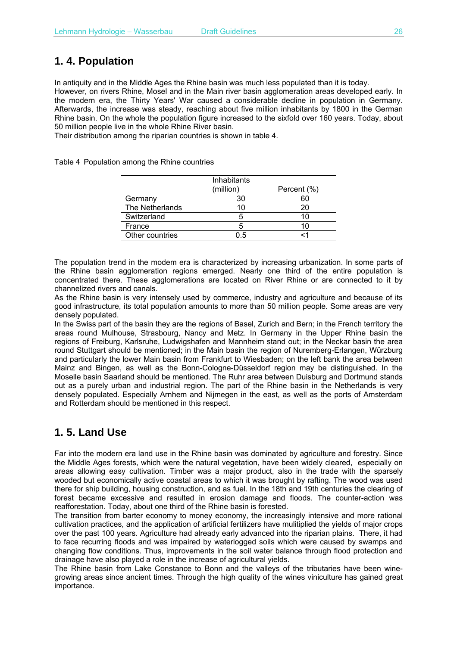# **1. 4. Population**

In antiquity and in the Middle Ages the Rhine basin was much less populated than it is today.

However, on rivers Rhine, Mosel and in the Main river basin agglomeration areas developed early. In the modern era, the Thirty Years' War caused a considerable decline in population in Germany. Afterwards, the increase was steady, reaching about five million inhabitants by 1800 in the German Rhine basin. On the whole the population figure increased to the sixfold over 160 years. Today, about 50 million people live in the whole Rhine River basin.

Their distribution among the riparian countries is shown in table 4.

Table 4 Population among the Rhine countries

|                 | Inhabitants |             |  |  |  |  |
|-----------------|-------------|-------------|--|--|--|--|
|                 | (million)   | Percent (%) |  |  |  |  |
| Germany         | 30          |             |  |  |  |  |
| The Netherlands |             |             |  |  |  |  |
| Switzerland     |             |             |  |  |  |  |
| France          |             |             |  |  |  |  |
| Other countries | 0.5         |             |  |  |  |  |

The population trend in the modem era is characterized by increasing urbanization. In some parts of the Rhine basin agglomeration regions emerged. Nearly one third of the entire population is concentrated there. These agglomerations are located on River Rhine or are connected to it by channelized rivers and canals.

As the Rhine basin is very intensely used by commerce, industry and agriculture and because of its good infrastructure, its total population amounts to more than 50 million people. Some areas are very densely populated.

In the Swiss part of the basin they are the regions of Basel, Zurich and Bern; in the French territory the areas round Mulhouse, Strasbourg, Nancy and Metz. In Germany in the Upper Rhine basin the regions of Freiburg, Karlsruhe, Ludwigshafen and Mannheim stand out; in the Neckar basin the area round Stuttgart should be mentioned; in the Main basin the region of Nuremberg-Erlangen, Würzburg and particularly the lower Main basin from Frankfurt to Wiesbaden; on the left bank the area between Mainz and Bingen, as well as the Bonn-Cologne-Düsseldorf region may be distinguished. In the Moselle basin Saarland should be mentioned. The Ruhr area between Duisburg and Dortmund stands out as a purely urban and industrial region. The part of the Rhine basin in the Netherlands is very densely populated. Especially Arnhem and Nijmegen in the east, as well as the ports of Amsterdam and Rotterdam should be mentioned in this respect.

# **1. 5. Land Use**

Far into the modern era land use in the Rhine basin was dominated by agriculture and forestry. Since the Middle Ages forests, which were the natural vegetation, have been widely cleared, especially on areas allowing easy cultivation. Timber was a major product, also in the trade with the sparsely wooded but economically active coastal areas to which it was brought by rafting. The wood was used there for ship building, housing construction, and as fuel. In the 18th and 19th centuries the clearing of forest became excessive and resulted in erosion damage and floods. The counter-action was reafforestation. Today, about one third of the Rhine basin is forested.

The transition from barter economy to money economy, the increasingly intensive and more rational cultivation practices, and the application of artificial fertilizers have mulitiplied the yields of major crops over the past 100 years. Agriculture had already early advanced into the riparian plains. There, it had to face recurring floods and was impaired by waterlogged soils which were caused by swamps and changing flow conditions. Thus, improvements in the soil water balance through flood protection and drainage have also played a role in the increase of agricultural yields.

The Rhine basin from Lake Constance to Bonn and the valleys of the tributaries have been winegrowing areas since ancient times. Through the high quality of the wines viniculture has gained great importance.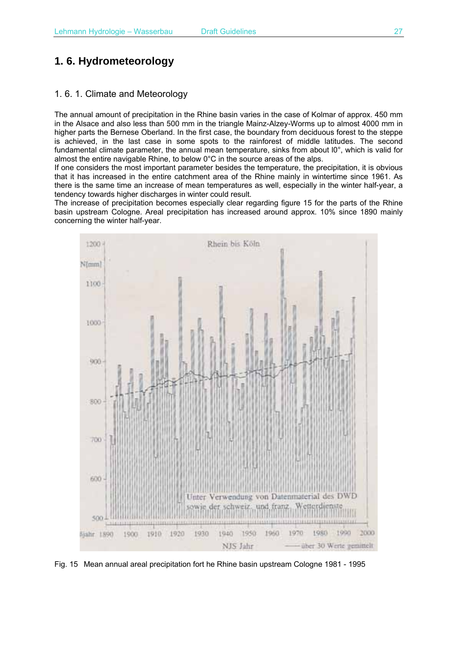# **1. 6. Hydrometeorology**

## 1. 6. 1. Climate and Meteorology

The annual amount of precipitation in the Rhine basin varies in the case of Kolmar of approx. 450 mm in the Alsace and also less than 500 mm in the triangle Mainz-Alzey-Worms up to almost 4000 mm in higher parts the Bernese Oberland. In the first case, the boundary from deciduous forest to the steppe is achieved, in the last case in some spots to the rainforest of middle latitudes. The second fundamental climate parameter, the annual mean temperature, sinks from about l0°, which is valid for almost the entire navigable Rhine, to below 0°C in the source areas of the alps.

If one considers the most important parameter besides the temperature, the precipitation, it is obvious that it has increased in the entire catchment area of the Rhine mainly in wintertime since 1961. As there is the same time an increase of mean temperatures as well, especially in the winter half-year, a tendency towards higher discharges in winter could result.

The increase of precipitation becomes especially clear regarding figure 15 for the parts of the Rhine basin upstream Cologne. Areal precipitation has increased around approx. 10% since 1890 mainly concerning the winter half-year.



Fig. 15 Mean annual areal precipitation fort he Rhine basin upstream Cologne 1981 - 1995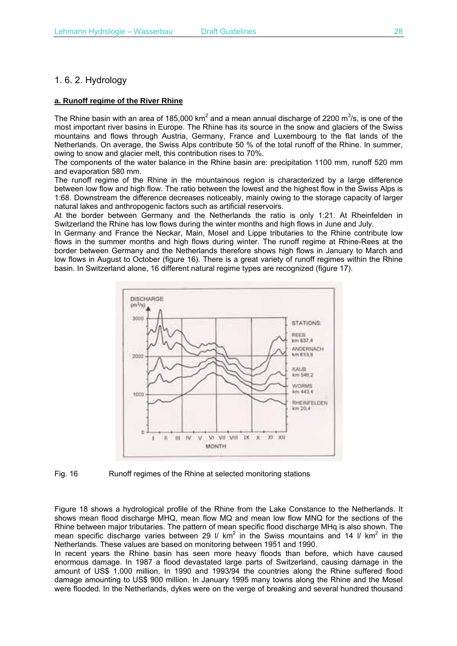## 1. 6. 2. Hydrology

#### **a. Runoff regime of the River Rhine**

The Rhine basin with an area of 185,000 km<sup>2</sup> and a mean annual discharge of 2200 m<sup>3</sup>/s, is one of the most important river basins in Europe. The Rhine has its source in the snow and glaciers of the Swiss mountains and flows through Austria, Germany, France and Luxembourg to the flat lands of the Netherlands. On average, the Swiss Alps contribute 50 % of the total runoff of the Rhine. In summer, owing to snow and glacier melt, this contribution rises to 70%.

The components of the water balance in the Rhine basin are: precipitation 1100 mm, runoff 520 mm and evaporation 580 mm.

The runoff regime of the Rhine in the mountainous region is characterized by a large difference between low flow and high flow. The ratio between the lowest and the highest flow in the Swiss Alps is 1:68. Downstream the difference decreases noticeably, mainly owing to the storage capacity of larger natural lakes and anthropogenic factors such as artificial reservoirs.

At the border between Germany and the Netherlands the ratio is only 1:21. At Rheinfelden in Switzerland the Rhine has low flows during the winter months and high flows in June and July.

In Germany and France the Neckar, Main, Mosel and Lippe tributaries to the Rhine contribute low flows in the summer months and high flows during winter. The runoff regime at Rhine-Rees at the border between Germany and the Netherlands therefore shows high flows in January to March and low flows in August to October (figure 16). There is a great variety of runoff regimes within the Rhine basin. In Switzerland alone, 16 different natural regime types are recognized (figure 17).



#### Fig. 16 Runoff regimes of the Rhine at selected monitoring stations

Figure 18 shows a hydrological profile of the Rhine from the Lake Constance to the Netherlands. It shows mean flood discharge MHQ, mean flow MQ and mean low flow MNQ for the sections of the Rhine between major tributaries. The pattern of mean specific flood discharge MHq is also shown. The mean specific discharge varies between 29 I/ km<sup>2</sup> in the Swiss mountains and 14 I/ km<sup>2</sup> in the Netherlands. These values are based on monitoring between 1951 and 1990.

In recent years the Rhine basin has seen more heavy floods than before, which have caused enormous damage. In 1987 a flood devastated large parts of Switzerland, causing damage in the amount of US\$ 1,000 million. In 1990 and 1993/94 the countries along the Rhine suffered flood damage amounting to US\$ 900 million. In January 1995 many towns along the Rhine and the Mosel were flooded. In the Netherlands, dykes were on the verge of breaking and several hundred thousand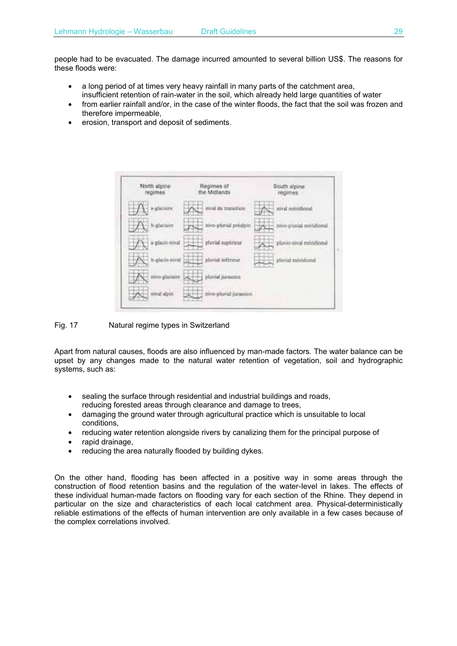people had to be evacuated. The damage incurred amounted to several billion US\$. The reasons for these floods were:

- a long period of at times very heavy rainfall in many parts of the catchment area, insufficient retention of rain-water in the soil, which already held large quantities of water
- from earlier rainfall and/or, in the case of the winter floods, the fact that the soil was frozen and therefore impermeable,
- erosion, transport and deposit of sediments.



#### Fig. 17 Natural regime types in Switzerland

Apart from natural causes, floods are also influenced by man-made factors. The water balance can be upset by any changes made to the natural water retention of vegetation, soil and hydrographic systems, such as:

- sealing the surface through residential and industrial buildings and roads, reducing forested areas through clearance and damage to trees,
- damaging the ground water through agricultural practice which is unsuitable to local conditions,
- reducing water retention alongside rivers by canalizing them for the principal purpose of
- rapid drainage.
- reducing the area naturally flooded by building dykes.

On the other hand, flooding has been affected in a positive way in some areas through the construction of flood retention basins and the regulation of the water-Ievel in lakes. The effects of these individual human-made factors on flooding vary for each section of the Rhine. They depend in particular on the size and characteristics of each local catchment area. Physical-deterministically reliable estimations of the effects of human intervention are only available in a few cases because of the complex correlations involved.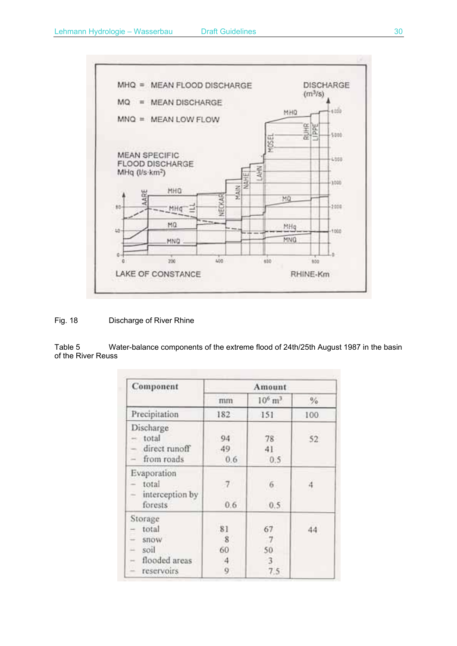

### Fig. 18 Discharge of River Rhine

Table 5 Water-balance components of the extreme flood of 24th/25th August 1987 in the basin of the River Reuss

| Component                                                                                                    | Amount                   |                            |               |  |  |  |
|--------------------------------------------------------------------------------------------------------------|--------------------------|----------------------------|---------------|--|--|--|
|                                                                                                              | mm                       | $10^6 \text{ m}^3$         | $\frac{9}{6}$ |  |  |  |
| Precipitation                                                                                                | 182                      | 151                        | 100           |  |  |  |
| Discharge<br>total<br>direct runoff<br>from roads<br>Ξ                                                       | 94<br>49<br>0.6          | 78<br>41<br>0.5            | 52            |  |  |  |
| Evaporation<br>total<br>interception by<br>÷<br>forests                                                      | 0.6                      | $\sqrt{6}$<br>0.5          | 4             |  |  |  |
| Storage<br>total<br>$\overline{\phantom{a}}$<br><b>STOW</b><br>soil<br>드<br>flooded areas<br>×<br>reservoirs | .81<br>8<br>60<br>4<br>9 | 67<br>-7<br>50<br>3<br>7.5 | 44            |  |  |  |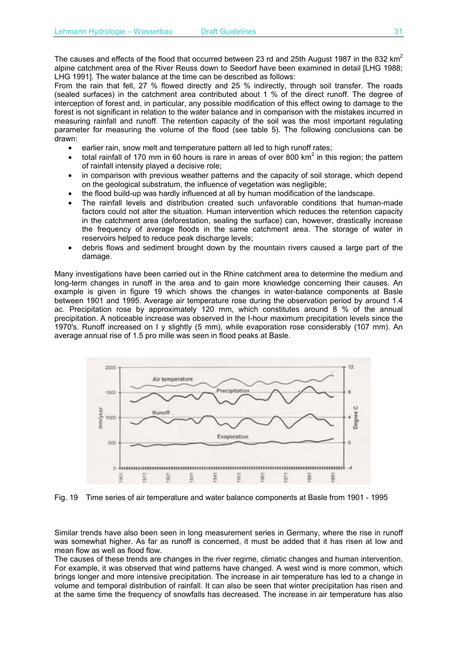The causes and effects of the flood that occurred between 23 rd and 25th August 1987 in the 832  $km^2$ alpine catchment area of the River Reuss down to Seedorf have been examined in detail [LHG 1988; LHG 1991]. The water balance at the time can be described as follows:

From the rain that fell, 27 % flowed directly and 25 % indirectly, through soil transfer. The roads (sealed surfaces) in the catchment area contributed about 1 % of the direct runoff. The degree of interception of forest and, in particular, any possible modification of this effect owing to damage to the forest is not significant in relation to the water balance and in comparison with the mistakes incurred in measuring rainfall and runoff. The retention capacity of the soil was the most important regulating parameter for measuring the volume of the flood (see table 5). The following conclusions can be drawn:

- earlier rain, snow melt and temperature pattern all led to high runoff rates;
- total rainfall of 170 mm in 60 hours is rare in areas of over 800 km<sup>2</sup> in this region; the pattern of rainfall intensity played a decisive role;
- in comparison with previous weather patterns and the capacity of soil storage, which depend on the geological substratum, the influence of vegetation was negligible;
- the flood build-up was hardly influenced at all by human modification of the landscape.
- The rainfall levels and distribution created such unfavorable conditions that human-made factors could not alter the situation. Human intervention which reduces the retention capacity in the catchment area (deforestation, sealing the surface) can, however, drastically increase the frequency of average floods in the same catchment area. The storage of water in reservoirs helped to reduce peak discharge levels;
- debris flows and sediment brought down by the mountain rivers caused a large part of the damage.

Many investigations have been carried out in the Rhine catchment area to determine the medium and long-term changes in runoff in the area and to gain more knowledge concerning their causes. An example is given in figure 19 which shows the changes in water-balance components at Basle between 1901 and 1995. Average air temperature rose during the observation period by around 1.4 ac. Precipitation rose by approximately 120 mm, which constitutes around 8 % of the annual precipitation. A noticeable increase was observed in the I-hour maximum precipitation levels since the 1970's. Runoff increased on I y slightly (5 mm), while evaporation rose considerably (107 mm). An average annual rise of 1.5 pro mille was seen in flood peaks at Basle.



Fig. 19 Time series of air temperature and water balance components at Basle from 1901 - 1995

Similar trends have also been seen in long measurement series in Germany, where the rise in runoff was somewhat higher. As far as runoff is concerned, it must be added that it has risen at low and mean flow as well as flood flow.

The causes of these trends are changes in the river regime, climatic changes and human intervention. For example, it was observed that wind patterns have changed. A west wind is more common, which brings longer and more intensive precipitation. The increase in air temperature has led to a change in volume and temporal distribution of rainfall. It can also be seen that winter precipitation has risen and at the same time the frequency of snowfalls has decreased. The increase in air temperature has also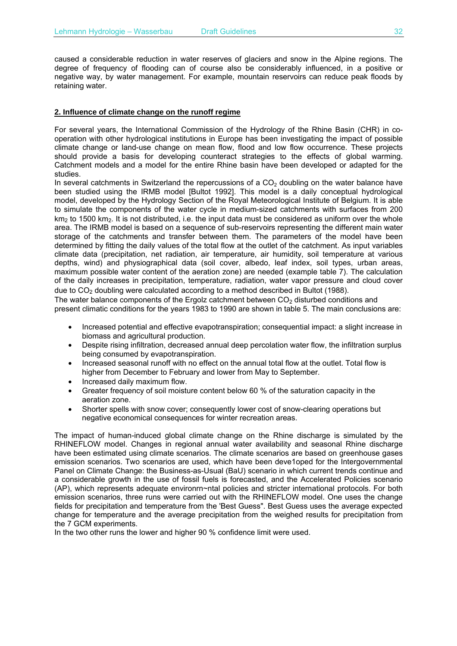caused a considerable reduction in water reserves of glaciers and snow in the Alpine regions. The degree of frequency of flooding can of course also be considerably influenced, in a positive or negative way, by water management. For example, mountain reservoirs can reduce peak floods by retaining water.

#### **2. Influence of climate change on the runoff regime**

For several years, the International Commission of the Hydrology of the Rhine Basin (CHR) in cooperation with other hydrological institutions in Europe has been investigating the impact of possible climate change or land-use change on mean flow, flood and low flow occurrence. These projects should provide a basis for developing counteract strategies to the effects of global warming. Catchment models and a model for the entire Rhine basin have been developed or adapted for the studies.

In several catchments in Switzerland the repercussions of a  $CO<sub>2</sub>$  doubling on the water balance have been studied using the IRMB model [Bultot 1992]. This model is a daily conceptual hydrological model, developed by the Hydrology Section of the Royal Meteorological Institute of Belgium. It is able to simulate the components of the water cycle in medium-sized catchments with surfaces from 200  $km<sub>2</sub>$  to 1500 km<sub>2</sub>. It is not distributed, i.e. the input data must be considered as uniform over the whole area. The IRMB model is based on a sequence of sub-reservoirs representing the different main water storage of the catchments and transfer between them. The parameters of the model have been determined by fitting the daily values of the total flow at the outlet of the catchment. As input variables climate data (precipitation, net radiation, air temperature, air humidity, soil temperature at various depths, wind) and physiographical data (soil cover, albedo, leaf index, soil types, urban areas, maximum possible water content of the aeration zone) are needed (example table 7). The calculation of the daily increases in precipitation, temperature, radiation, water vapor pressure and cloud cover due to  $CO<sub>2</sub>$  doubling were calculated according to a method described in Bultot (1988).

The water balance components of the Ergolz catchment between  $CO<sub>2</sub>$  disturbed conditions and present climatic conditions for the years 1983 to 1990 are shown in table 5. The main conclusions are:

- Increased potential and effective evapotranspiration; consequential impact: a slight increase in biomass and agricultural production.
- Despite rising infiltration, decreased annual deep percolation water flow, the infiltration surplus being consumed by evapotranspiration.
- Increased seasonal runoff with no effect on the annual total flow at the outlet. Total flow is higher from December to February and lower from May to September.
- Increased daily maximum flow.
- Greater frequency of soil moisture content below 60 % of the saturation capacity in the aeration zone.
- Shorter spells with snow cover; consequently lower cost of snow-clearing operations but negative economical consequences for winter recreation areas.

The impact of human-induced global climate change on the Rhine discharge is simulated by the RHINEFLOW model. Changes in regional annual water availability and seasonal Rhine discharge have been estimated using climate scenarios. The climate scenarios are based on greenhouse gases emission scenarios. Two scenarios are used, which have been deve1oped for the Intergovernmental Panel on Climate Change: the Business-as-Usual (BaU) scenario in which current trends continue and a considerable growth in the use of fossil fuels is forecasted, and the Accelerated Policies scenario (AP), which represents adequate environrn~ntal policies and stricter international protocols. For both emission scenarios, three runs were carried out with the RHINEFLOW model. One uses the change fields for precipitation and temperature from the 'Best Guess". Best Guess uses the average expected change for temperature and the average precipitation from the weighed results for precipitation from the 7 GCM experiments.

In the two other runs the lower and higher 90 % confidence limit were used.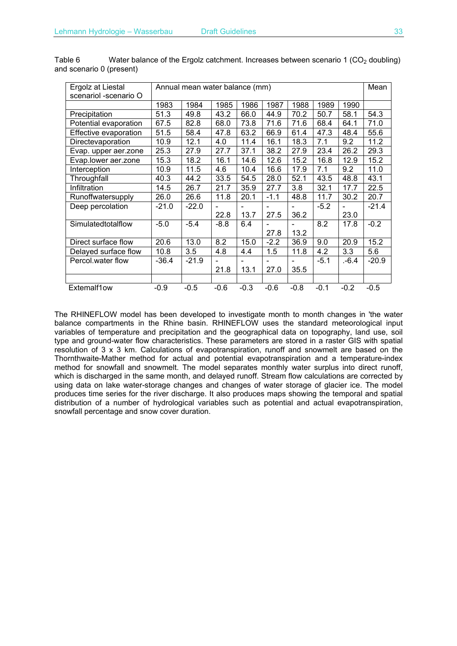| Ergolz at Liestal     | Annual mean water balance (mm) |         |        |        |                |        |        | Mean   |         |
|-----------------------|--------------------------------|---------|--------|--------|----------------|--------|--------|--------|---------|
| scenariol -scenario O |                                |         |        |        |                |        |        |        |         |
|                       | 1983                           | 1984    | 1985   | 1986   | 1987           | 1988   | 1989   | 1990   |         |
| Precipitation         | 51.3                           | 49.8    | 43.2   | 66.0   | 44.9           | 70.2   | 50.7   | 58.1   | 54.3    |
| Potential evaporation | 67.5                           | 82.8    | 68.0   | 73.8   | 71.6           | 71.6   | 68.4   | 64.1   | 71.0    |
| Effective evaporation | 51.5                           | 58.4    | 47.8   | 63.2   | 66.9           | 61.4   | 47.3   | 48.4   | 55.6    |
| Directevaporation     | 10.9                           | 12.1    | 4.0    | 11.4   | 16.1           | 18.3   | 7.1    | 9.2    | 11.2    |
| Evap. upper aer.zone  | 25.3                           | 27.9    | 27.7   | 37.1   | 38.2           | 27.9   | 23.4   | 26.2   | 29.3    |
| Evap.lower aer.zone   | 15.3                           | 18.2    | 16.1   | 14.6   | 12.6           | 15.2   | 16.8   | 12.9   | 15.2    |
| Interception          | 10.9                           | 11.5    | 4.6    | 10.4   | 16.6           | 17.9   | 7.1    | 9.2    | 11.0    |
| Throughfall           | 40.3                           | 44.2    | 33.5   | 54.5   | 28.0           | 52.1   | 43.5   | 48.8   | 43.1    |
| Infiltration          | 14.5                           | 26.7    | 21.7   | 35.9   | 27.7           | 3.8    | 32.1   | 17.7   | 22.5    |
| Runoffwatersupply     | 26.0                           | 26.6    | 11.8   | 20.1   | $-1.1$         | 48.8   | 11.7   | 30.2   | 20.7    |
| Deep percolation      | $-21.0$                        | $-22.0$ |        |        |                |        | $-5.2$ |        | $-21.4$ |
|                       |                                |         | 22.8   | 13.7   | 27.5           | 36.2   |        | 23.0   |         |
| Simulatedtotalflow    | $-5.0$                         | $-5.4$  | $-8.8$ | 6.4    |                |        | 8.2    | 17.8   | $-0.2$  |
|                       |                                |         |        |        | 27.8           | 13.2   |        |        |         |
| Direct surface flow   | 20.6                           | 13.0    | 8.2    | 15.0   | $-2.2$         | 36.9   | 9.0    | 20.9   | 15.2    |
| Delayed surface flow  | 10.8                           | 3.5     | 4.8    | 4.4    | 1.5            | 11.8   | 4.2    | 3.3    | 5.6     |
| Percol.water flow     | $-36.4$                        | $-21.9$ |        |        | $\blacksquare$ |        | $-5.1$ | .-6.4  | $-20.9$ |
|                       |                                |         | 21.8   | 13.1   | 27.0           | 35.5   |        |        |         |
|                       |                                |         |        |        |                |        |        |        |         |
| Extemalf1ow           | $-0.9$                         | $-0.5$  | $-0.6$ | $-0.3$ | $-0.6$         | $-0.8$ | $-0.1$ | $-0.2$ | $-0.5$  |

Table 6 Water balance of the Ergolz catchment. Increases between scenario 1 (CO<sub>2</sub> doubling) and scenario 0 (present)

The RHINEFLOW model has been developed to investigate month to month changes in 'the water balance compartments in the Rhine basin. RHINEFLOW uses the standard meteorological input variables of temperature and precipitation and the geographical data on topography, land use, soil type and ground-water flow characteristics. These parameters are stored in a raster GIS with spatial resolution of 3 x 3 km. Calculations of evapotranspiration, runoff and snowmelt are based on the Thornthwaite-Mather method for actual and potential evapotranspiration and a temperature-index method for snowfall and snowmelt. The model separates monthly water surplus into direct runoff, which is discharged in the same month, and delayed runoff. Stream flow calculations are corrected by using data on lake water-storage changes and changes of water storage of glacier ice. The model produces time series for the river discharge. It also produces maps showing the temporal and spatial distribution of a number of hydrological variables such as potential and actual evapotranspiration, snowfall percentage and snow cover duration.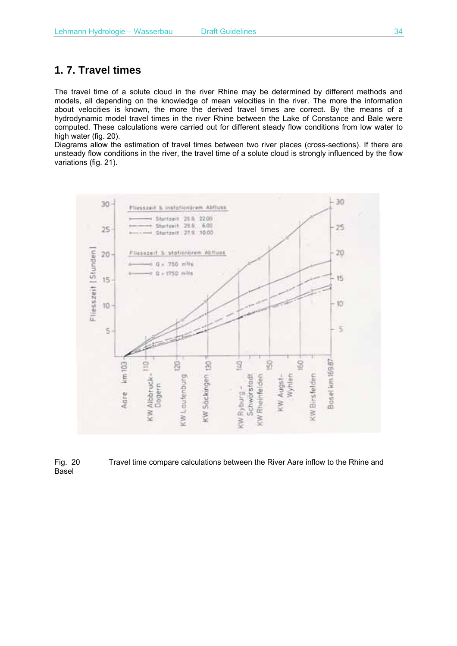## **1. 7. Travel times**

The travel time of a solute cloud in the river Rhine may be determined by different methods and models, all depending on the knowledge of mean velocities in the river. The more the information about velocities is known, the more the derived travel times are correct. By the means of a hydrodynamic model travel times in the river Rhine between the Lake of Constance and Bale were computed. These calculations were carried out for different steady flow conditions from low water to high water (fig. 20).

Diagrams allow the estimation of travel times between two river places (cross-sections). If there are unsteady flow conditions in the river, the travel time of a solute cloud is strongly influenced by the flow variations (fig. 21).



Fig. 20 Travel time compare calculations between the River Aare inflow to the Rhine and Basel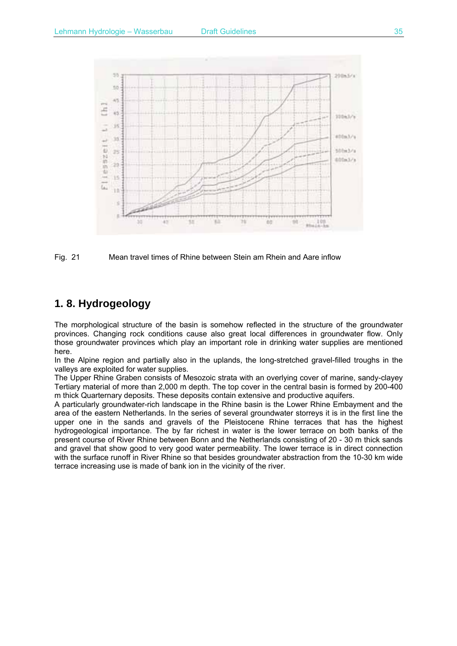

Fig. 21 Mean travel times of Rhine between Stein am Rhein and Aare inflow

# **1. 8. Hydrogeology**

The morphological structure of the basin is somehow reflected in the structure of the groundwater provinces. Changing rock conditions cause also great local differences in groundwater flow. OnIy those groundwater provinces which play an important role in drinking water supplies are mentioned here.

In the Alpine region and partially also in the uplands, the long-stretched gravel-filled troughs in the valleys are exploited for water supplies.

The Upper Rhine Graben consists of Mesozoic strata with an overlying cover of marine, sandy-clayey Tertiary material of more than 2,000 m depth. The top cover in the central basin is formed by 200-400 m thick Quarternary deposits. These deposits contain extensive and productive aquifers.

A particularly groundwater-rich landscape in the Rhine basin is the Lower Rhine Embayment and the area of the eastern Netherlands. In the series of several groundwater storreys it is in the first Iine the upper one in the sands and gravels of the Pleistocene Rhine terraces that has the highest hydrogeological importance. The by far richest in water is the lower terrace on both banks of the present course of River Rhine between Bonn and the Netherlands consisting of 20 - 30 m thick sands and gravel that show good to very good water permeability. The lower terrace is in direct connection with the surface runoff in River Rhine so that besides groundwater abstraction from the 10-30 km wide terrace increasing use is made of bank ion in the vicinity of the river.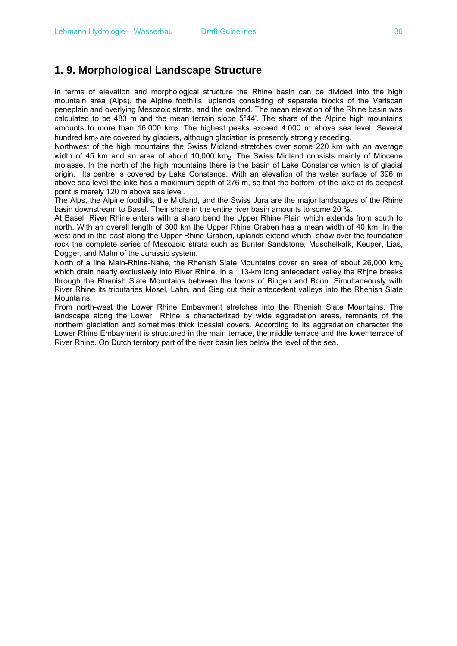## **1. 9. Morphological Landscape Structure**

In terms of elevation and morphological structure the Rhine basin can be divided into the high mountain area (Alps), the Alpine foothills, uplands consisting of separate blocks of the Variscan peneplain and overlying Mesozoic strata, and the lowland. The mean elevation of the Rhine basin was calculated to be 483 m and the mean terrain slope 5°44'. The share of the Alpine high mountains amounts to more than  $16,000 \text{ km}_2$ . The highest peaks exceed  $4,000 \text{ m}$  above sea level. Several hundred km<sub>2</sub> are covered by glaciers, although glaciation is presently strongly receding.

Northwest of the high mountains the Swiss Midland stretches over some 220 km with an average width of 45 km and an area of about 10,000 km<sub>2</sub>. The Swiss Midland consists mainly of Miocene molasse. In the north of the high mountains there is the basin of Lake Constance which is of glacial origin. Its centre is covered by Lake Constance. With an elevation of the water surface of 396 m above sea level the lake has a maximum depth of 276 m, so that the bottom of the lake at its deepest point is merely 120 m above sea level.

The Alps, the Alpine foothills, the Midland, and the Swiss Jura are the major landscapes of the Rhine basin downstream to Basel. Their share in the entire river basin amounts to some 20 %.

At Basel, River Rhine enters with a sharp bend the Upper Rhine Plain which extends from south to north. With an overall length of 300 km the Upper Rhine Graben has a mean width of 40 km. In the west and in the east along the Upper Rhine Graben, uplands extend which show over the foundation rock the complete series of Mesozoic strata such as Bunter Sandstone, Muschelkalk, Keuper, Lias, Dogger, and Malm of the Jurassic system.

North of a line Main-Rhine-Nahe, the Rhenish Slate Mountains cover an area of about 26,000 km<sub>2</sub> which drain nearly exclusively into River Rhine. In a 113-km long antecedent valley the Rhine breaks through the Rhenish Slate Mountains between the towns of Bingen and Bonn. Simultaneously with River Rhine its tributaries Mosel, Lahn, and Sieg cut their antecedent vaIleys into the Rhenish Slate Mountains.

From north-west the Lower Rhine Embayment stretches into the Rhenish Slate Mountains. The landscape along the Lower Rhine is characterized by wide aggradation areas, remnants of the northern glaciation and sometimes thick loessial covers. According to its aggradation character the Lower Rhine Embayment is structured in the main terrace, the middle terrace and the lower terrace of River Rhine. On Dutch territory part of the river basin lies below the level of the sea.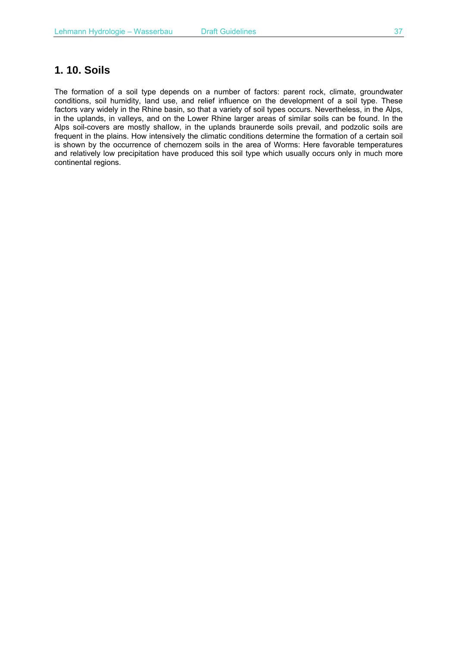## **1. 10. Soils**

The formation of a soil type depends on a number of factors: parent rock, climate, groundwater conditions, soil humidity, land use, and relief influence on the development of a soil type. These factors vary widely in the Rhine basin, so that a variety of soil types occurs. Nevertheless, in the Alps, in the uplands, in valIeys, and on the Lower Rhine larger areas of similar soils can be found. In the Alps soil-covers are mostly shalIow, in the uplands braunerde soils prevail, and podzolic soils are frequent in the plains. How intensively the climatic conditions determine the formation of a certain soil is shown by the occurrence of chernozem soils in the area of Worms: Here favorable temperatures and relatively low precipitation have produced this soil type which usually occurs only in much more continental regions.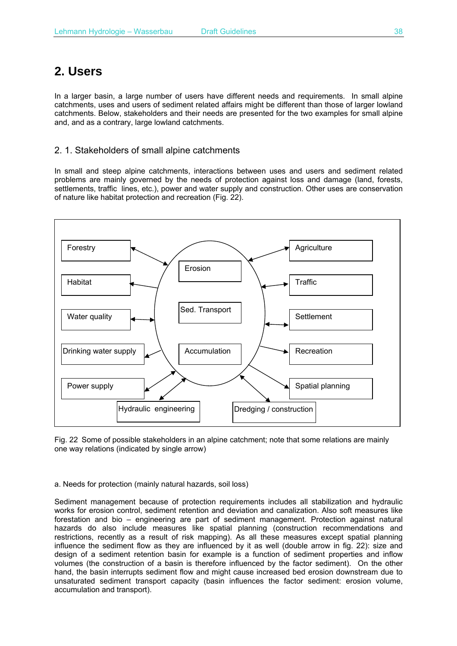# **2. Users**

In a larger basin, a large number of users have different needs and requirements. In small alpine catchments, uses and users of sediment related affairs might be different than those of larger lowland catchments. Below, stakeholders and their needs are presented for the two examples for small alpine and, and as a contrary, large lowland catchments.

## 2. 1. Stakeholders of small alpine catchments

In small and steep alpine catchments, interactions between uses and users and sediment related problems are mainly governed by the needs of protection against loss and damage (land, forests, settlements, traffic lines, etc.), power and water supply and construction. Other uses are conservation of nature like habitat protection and recreation (Fig. 22).



Fig. 22 Some of possible stakeholders in an alpine catchment; note that some relations are mainly one way relations (indicated by single arrow)

#### a. Needs for protection (mainly natural hazards, soil loss)

Sediment management because of protection requirements includes all stabilization and hydraulic works for erosion control, sediment retention and deviation and canalization. Also soft measures like forestation and bio – engineering are part of sediment management. Protection against natural hazards do also include measures like spatial planning (construction recommendations and restrictions, recently as a result of risk mapping). As all these measures except spatial planning influence the sediment flow as they are influenced by it as well (double arrow in fig. 22): size and design of a sediment retention basin for example is a function of sediment properties and inflow volumes (the construction of a basin is therefore influenced by the factor sediment). On the other hand, the basin interrupts sediment flow and might cause increased bed erosion downstream due to unsaturated sediment transport capacity (basin influences the factor sediment: erosion volume, accumulation and transport).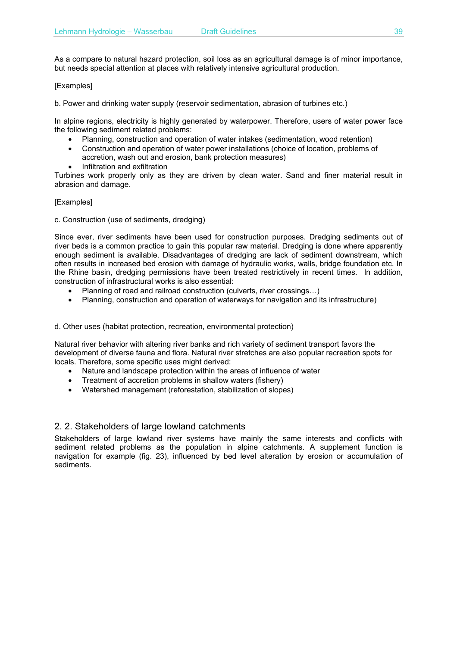As a compare to natural hazard protection, soil loss as an agricultural damage is of minor importance, but needs special attention at places with relatively intensive agricultural production.

#### [Examples]

b. Power and drinking water supply (reservoir sedimentation, abrasion of turbines etc.)

In alpine regions, electricity is highly generated by waterpower. Therefore, users of water power face the following sediment related problems:

- Planning, construction and operation of water intakes (sedimentation, wood retention)
- Construction and operation of water power installations (choice of location, problems of accretion, wash out and erosion, bank protection measures)
- Infiltration and exfiltration

Turbines work properly only as they are driven by clean water. Sand and finer material result in abrasion and damage.

#### [Examples]

c. Construction (use of sediments, dredging)

Since ever, river sediments have been used for construction purposes. Dredging sediments out of river beds is a common practice to gain this popular raw material. Dredging is done where apparently enough sediment is available. Disadvantages of dredging are lack of sediment downstream, which often results in increased bed erosion with damage of hydraulic works, walls, bridge foundation etc. In the Rhine basin, dredging permissions have been treated restrictively in recent times. In addition, construction of infrastructural works is also essential:

- Planning of road and railroad construction (culverts, river crossings…)
- Planning, construction and operation of waterways for navigation and its infrastructure)

d. Other uses (habitat protection, recreation, environmental protection)

Natural river behavior with altering river banks and rich variety of sediment transport favors the development of diverse fauna and flora. Natural river stretches are also popular recreation spots for locals. Therefore, some specific uses might derived:

- Nature and landscape protection within the areas of influence of water
- Treatment of accretion problems in shallow waters (fishery)
- Watershed management (reforestation, stabilization of slopes)

### 2. 2. Stakeholders of large lowland catchments

Stakeholders of large lowland river systems have mainly the same interests and conflicts with sediment related problems as the population in alpine catchments. A supplement function is navigation for example (fig. 23), influenced by bed level alteration by erosion or accumulation of sediments.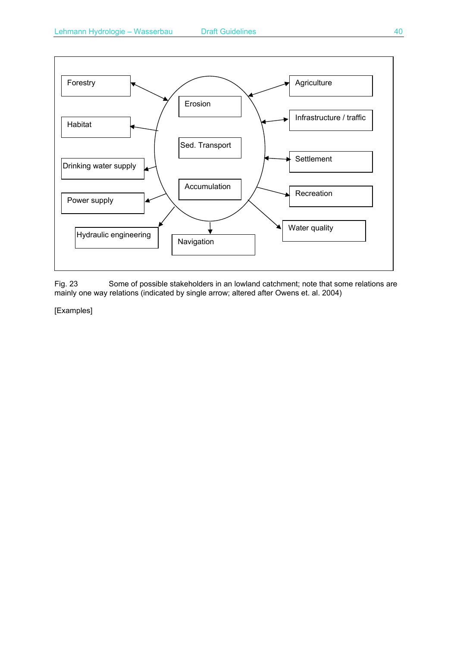

Fig. 23 Some of possible stakeholders in an lowland catchment; note that some relations are mainly one way relations (indicated by single arrow; altered after Owens et. al. 2004)

[Examples]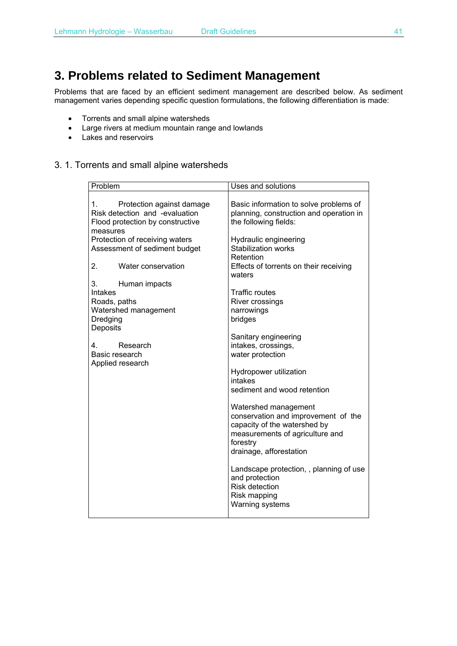# **3. Problems related to Sediment Management**

Problems that are faced by an efficient sediment management are described below. As sediment management varies depending specific question formulations, the following differentiation is made:

- Torrents and small alpine watersheds
- Large rivers at medium mountain range and lowlands
- Lakes and reservoirs

### 3. 1. Torrents and small alpine watersheds

| Problem                                                                                                                                                                                                                                                                                                                                                                                                                       | Uses and solutions                                                                                                                                                                                                                                                                                                                                                                                                                                                                                                                                                                                                                                                                                   |
|-------------------------------------------------------------------------------------------------------------------------------------------------------------------------------------------------------------------------------------------------------------------------------------------------------------------------------------------------------------------------------------------------------------------------------|------------------------------------------------------------------------------------------------------------------------------------------------------------------------------------------------------------------------------------------------------------------------------------------------------------------------------------------------------------------------------------------------------------------------------------------------------------------------------------------------------------------------------------------------------------------------------------------------------------------------------------------------------------------------------------------------------|
| 1.<br>Protection against damage<br>Risk detection and -evaluation<br>Flood protection by constructive<br>measures<br>Protection of receiving waters<br>Assessment of sediment budget<br>2.<br>Water conservation<br>waters<br>3.<br>Human impacts<br><b>Intakes</b><br>Roads, paths<br>Watershed management<br>Dredging<br>bridges<br>Deposits<br>Research<br>4.<br>Basic research<br>Applied research<br>intakes<br>forestry | Basic information to solve problems of<br>planning, construction and operation in<br>the following fields:<br>Hydraulic engineering<br><b>Stabilization works</b><br>Retention<br>Effects of torrents on their receiving<br><b>Traffic routes</b><br>River crossings<br>narrowings<br>Sanitary engineering<br>intakes, crossings,<br>water protection<br>Hydropower utilization<br>sediment and wood retention<br>Watershed management<br>conservation and improvement of the<br>capacity of the watershed by<br>measurements of agriculture and<br>drainage, afforestation<br>Landscape protection, , planning of use<br>and protection<br><b>Risk detection</b><br>Risk mapping<br>Warning systems |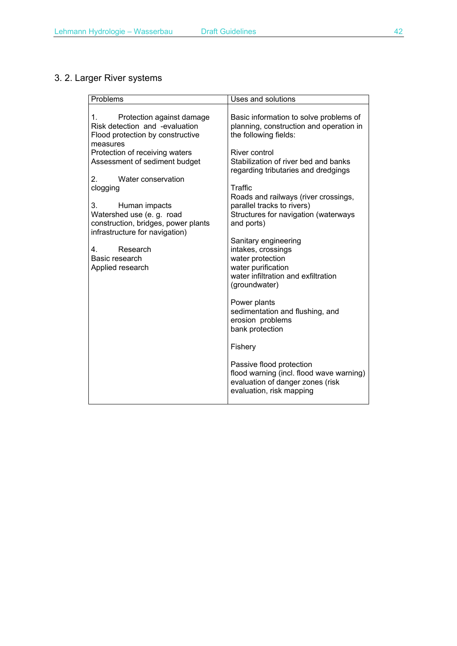# 3. 2. Larger River systems

| Problems                                                                                                                  | Uses and solutions                                                                                                                           |
|---------------------------------------------------------------------------------------------------------------------------|----------------------------------------------------------------------------------------------------------------------------------------------|
| 1.<br>Protection against damage<br>Risk detection and -evaluation<br>Flood protection by constructive<br>measures         | Basic information to solve problems of<br>planning, construction and operation in<br>the following fields:                                   |
| Protection of receiving waters<br>Assessment of sediment budget                                                           | River control<br>Stabilization of river bed and banks<br>regarding tributaries and dredgings                                                 |
| Water conservation<br>2.<br>clogging                                                                                      | Traffic<br>Roads and railways (river crossings,                                                                                              |
| 3.<br>Human impacts<br>Watershed use (e. g. road<br>construction, bridges, power plants<br>infrastructure for navigation) | parallel tracks to rivers)<br>Structures for navigation (waterways<br>and ports)                                                             |
| Research<br>4.<br>Basic research<br>Applied research                                                                      | Sanitary engineering<br>intakes, crossings<br>water protection<br>water purification<br>water infiltration and exfiltration<br>(groundwater) |
|                                                                                                                           | Power plants<br>sedimentation and flushing, and<br>erosion problems<br>bank protection                                                       |
|                                                                                                                           | Fishery                                                                                                                                      |
|                                                                                                                           | Passive flood protection<br>flood warning (incl. flood wave warning)<br>evaluation of danger zones (risk<br>evaluation, risk mapping         |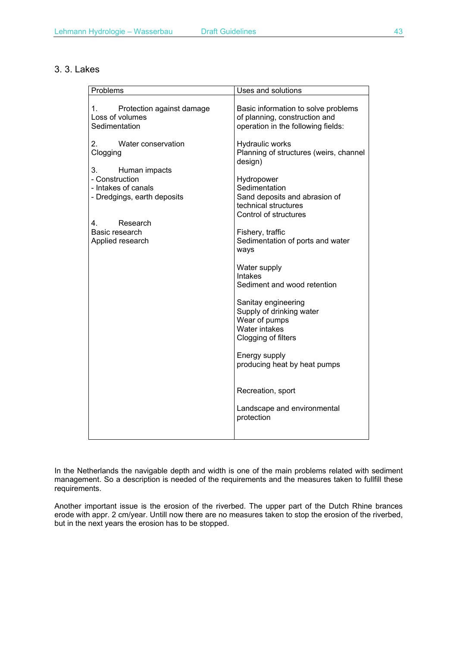### 3. 3. Lakes

| Problems                                                                                    | Uses and solutions                                                                                            |
|---------------------------------------------------------------------------------------------|---------------------------------------------------------------------------------------------------------------|
| 1. Protection against damage<br>Loss of volumes<br>Sedimentation                            | Basic information to solve problems<br>of planning, construction and<br>operation in the following fields:    |
| Water conservation<br>2.<br>Clogging                                                        | Hydraulic works<br>Planning of structures (weirs, channel<br>design)                                          |
| 3.<br>Human impacts<br>- Construction<br>- Intakes of canals<br>- Dredgings, earth deposits | Hydropower<br>Sedimentation<br>Sand deposits and abrasion of<br>technical structures<br>Control of structures |
| 4.<br>Research<br>Basic research<br>Applied research                                        | Fishery, traffic<br>Sedimentation of ports and water<br>ways                                                  |
|                                                                                             | Water supply<br><b>Intakes</b><br>Sediment and wood retention                                                 |
|                                                                                             | Sanitay engineering<br>Supply of drinking water<br>Wear of pumps<br>Water intakes<br>Clogging of filters      |
|                                                                                             | Energy supply<br>producing heat by heat pumps                                                                 |
|                                                                                             | Recreation, sport                                                                                             |
|                                                                                             | Landscape and environmental<br>protection                                                                     |

In the Netherlands the navigable depth and width is one of the main problems related with sediment management. So a description is needed of the requirements and the measures taken to fullfill these requirements.

Another important issue is the erosion of the riverbed. The upper part of the Dutch Rhine brances erode with appr. 2 cm/year. Untill now there are no measures taken to stop the erosion of the riverbed, but in the next years the erosion has to be stopped.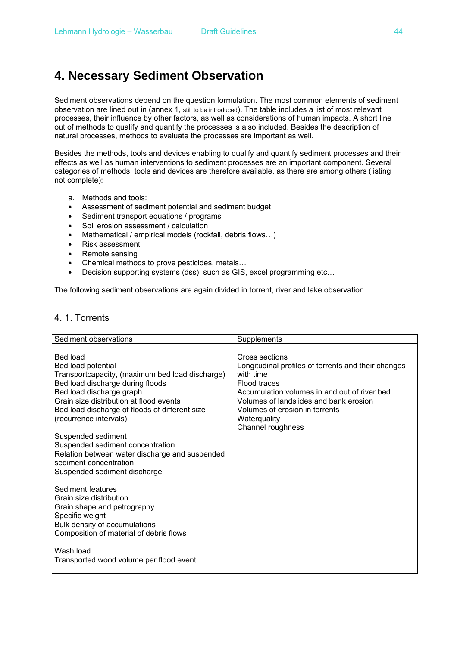# **4. Necessary Sediment Observation**

Sediment observations depend on the question formulation. The most common elements of sediment observation are lined out in (annex 1, still to be introduced). The table includes a list of most relevant processes, their influence by other factors, as well as considerations of human impacts. A short line out of methods to qualify and quantify the processes is also included. Besides the description of natural processes, methods to evaluate the processes are important as well.

Besides the methods, tools and devices enabling to qualify and quantify sediment processes and their effects as well as human interventions to sediment processes are an important component. Several categories of methods, tools and devices are therefore available, as there are among others (listing not complete):

- a. Methods and tools:
- Assessment of sediment potential and sediment budget
- Sediment transport equations / programs
- Soil erosion assessment / calculation
- Mathematical / empirical models (rockfall, debris flows...)
- Risk assessment
- Remote sensing
- Chemical methods to prove pesticides, metals…
- Decision supporting systems (dss), such as GIS, excel programming etc…

The following sediment observations are again divided in torrent, river and lake observation.

## 4. 1. Torrents

| Sediment observations                                                                                                                                                                                                                                                                                                                                                                                                                                                                                                                                                                                                                                                                | Supplements                                                                                                                                                                                                                                                         |
|--------------------------------------------------------------------------------------------------------------------------------------------------------------------------------------------------------------------------------------------------------------------------------------------------------------------------------------------------------------------------------------------------------------------------------------------------------------------------------------------------------------------------------------------------------------------------------------------------------------------------------------------------------------------------------------|---------------------------------------------------------------------------------------------------------------------------------------------------------------------------------------------------------------------------------------------------------------------|
| Bed load<br>Bed load potential<br>Transportcapacity, (maximum bed load discharge)<br>Bed load discharge during floods<br>Bed load discharge graph<br>Grain size distribution at flood events<br>Bed load discharge of floods of different size<br>(recurrence intervals)<br>Suspended sediment<br>Suspended sediment concentration<br>Relation between water discharge and suspended<br>sediment concentration<br>Suspended sediment discharge<br>Sediment features<br>Grain size distribution<br>Grain shape and petrography<br>Specific weight<br>Bulk density of accumulations<br>Composition of material of debris flows<br>Wash load<br>Transported wood volume per flood event | Cross sections<br>Longitudinal profiles of torrents and their changes<br>with time<br>Flood traces<br>Accumulation volumes in and out of river bed<br>Volumes of landslides and bank erosion<br>Volumes of erosion in torrents<br>Waterquality<br>Channel roughness |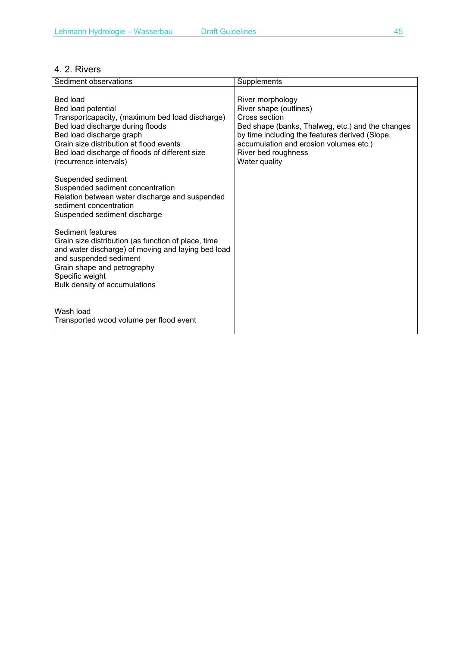## 4. 2. Rivers

| Sediment observations                                                                                                                                                                                                                                                    | Supplements                                                                                                                                                                                                                                         |
|--------------------------------------------------------------------------------------------------------------------------------------------------------------------------------------------------------------------------------------------------------------------------|-----------------------------------------------------------------------------------------------------------------------------------------------------------------------------------------------------------------------------------------------------|
| Bed load<br>Bed load potential<br>Transportcapacity, (maximum bed load discharge)<br>Bed load discharge during floods<br>Bed load discharge graph<br>Grain size distribution at flood events<br>Bed load discharge of floods of different size<br>(recurrence intervals) | River morphology<br>River shape (outlines)<br>Cross section<br>Bed shape (banks, Thalweg, etc.) and the changes<br>by time including the features derived (Slope,<br>accumulation and erosion volumes etc.)<br>River bed roughness<br>Water quality |
| Suspended sediment<br>Suspended sediment concentration<br>Relation between water discharge and suspended<br>sediment concentration<br>Suspended sediment discharge                                                                                                       |                                                                                                                                                                                                                                                     |
| Sediment features<br>Grain size distribution (as function of place, time<br>and water discharge) of moving and laying bed load<br>and suspended sediment<br>Grain shape and petrography<br>Specific weight<br>Bulk density of accumulations                              |                                                                                                                                                                                                                                                     |
| Wash load<br>Transported wood volume per flood event                                                                                                                                                                                                                     |                                                                                                                                                                                                                                                     |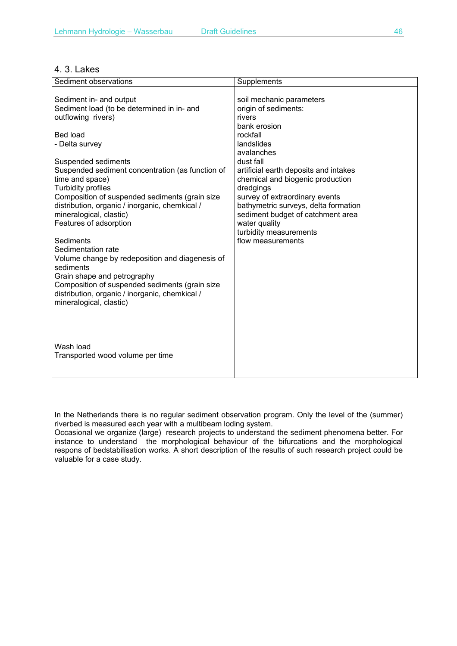#### 4. 3. Lakes

| Sediment observations                                                                                                                                                                                                                                                                                                                                                                                                                                                                                                                                                                                                                                                          | Supplements                                                                                                                                                                                                                                                                                                                                                                                              |
|--------------------------------------------------------------------------------------------------------------------------------------------------------------------------------------------------------------------------------------------------------------------------------------------------------------------------------------------------------------------------------------------------------------------------------------------------------------------------------------------------------------------------------------------------------------------------------------------------------------------------------------------------------------------------------|----------------------------------------------------------------------------------------------------------------------------------------------------------------------------------------------------------------------------------------------------------------------------------------------------------------------------------------------------------------------------------------------------------|
| Sediment in- and output<br>Sediment load (to be determined in in- and<br>outflowing rivers)<br>Bed load<br>- Delta survey<br>Suspended sediments<br>Suspended sediment concentration (as function of<br>time and space)<br><b>Turbidity profiles</b><br>Composition of suspended sediments (grain size<br>distribution, organic / inorganic, chemkical /<br>mineralogical, clastic)<br>Features of adsorption<br>Sediments<br>Sedimentation rate<br>Volume change by redeposition and diagenesis of<br>sediments<br>Grain shape and petrography<br>Composition of suspended sediments (grain size<br>distribution, organic / inorganic, chemkical /<br>mineralogical, clastic) | soil mechanic parameters<br>origin of sediments:<br>rivers<br>bank erosion<br>rockfall<br>landslides<br>avalanches<br>dust fall<br>artificial earth deposits and intakes<br>chemical and biogenic production<br>dredgings<br>survey of extraordinary events<br>bathymetric surveys, delta formation<br>sediment budget of catchment area<br>water quality<br>turbidity measurements<br>flow measurements |
| Wash load<br>Transported wood volume per time                                                                                                                                                                                                                                                                                                                                                                                                                                                                                                                                                                                                                                  |                                                                                                                                                                                                                                                                                                                                                                                                          |

In the Netherlands there is no regular sediment observation program. Only the level of the (summer) riverbed is measured each year with a multibeam loding system.

Occasional we organize (large) research projects to understand the sediment phenomena better. For instance to understand the morphological behaviour of the bifurcations and the morphological respons of bedstabilisation works. A short description of the results of such research project could be valuable for a case study.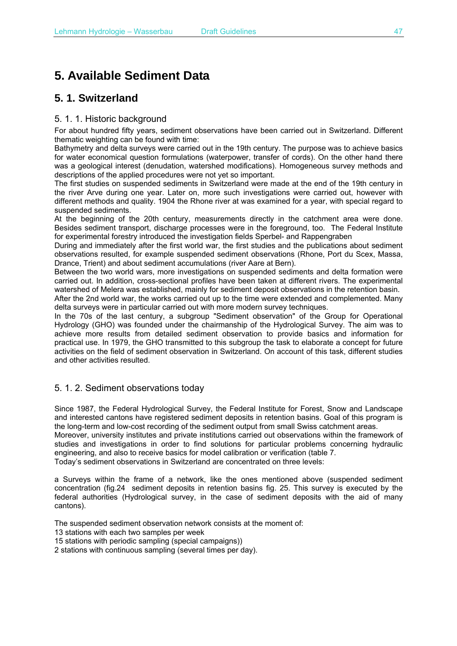# **5. Available Sediment Data**

# **5. 1. Switzerland**

### 5. 1. 1. Historic background

For about hundred fifty years, sediment observations have been carried out in Switzerland. Different thematic weighting can be found with time:

Bathymetry and delta surveys were carried out in the 19th century. The purpose was to achieve basics for water economical question formulations (waterpower, transfer of cords). On the other hand there was a geological interest (denudation, watershed modifications). Homogeneous survey methods and descriptions of the applied procedures were not yet so important.

The first studies on suspended sediments in Switzerland were made at the end of the 19th century in the river Arve during one year. Later on, more such investigations were carried out, however with different methods and quality. 1904 the Rhone river at was examined for a year, with special regard to suspended sediments.

At the beginning of the 20th century, measurements directly in the catchment area were done. Besides sediment transport, discharge processes were in the foreground, too. The Federal Institute for experimental forestry introduced the investigation fields Sperbel- and Rappengraben

During and immediately after the first world war, the first studies and the publications about sediment observations resulted, for example suspended sediment observations (Rhone, Port du Scex, Massa, Drance, Trient) and about sediment accumulations (river Aare at Bern).

Between the two world wars, more investigations on suspended sediments and delta formation were carried out. In addition, cross-sectional profiles have been taken at different rivers. The experimental watershed of Melera was established, mainly for sediment deposit observations in the retention basin.

After the 2nd world war, the works carried out up to the time were extended and complemented. Many delta surveys were in particular carried out with more modern survey techniques.

In the 70s of the last century, a subgroup "Sediment observation" of the Group for Operational Hydrology (GHO) was founded under the chairmanship of the Hydrological Survey. The aim was to achieve more results from detailed sediment observation to provide basics and information for practical use. In 1979, the GHO transmitted to this subgroup the task to elaborate a concept for future activities on the field of sediment observation in Switzerland. On account of this task, different studies and other activities resulted.

### 5. 1. 2. Sediment observations today

Since 1987, the Federal Hydrological Survey, the Federal Institute for Forest, Snow and Landscape and interested cantons have registered sediment deposits in retention basins. Goal of this program is the long-term and low-cost recording of the sediment output from small Swiss catchment areas.

Moreover, university institutes and private institutions carried out observations within the framework of studies and investigations in order to find solutions for particular problems concerning hydraulic engineering, and also to receive basics for model calibration or verification (table 7.

Today's sediment observations in Switzerland are concentrated on three levels:

a Surveys within the frame of a network, like the ones mentioned above (suspended sediment concentration (fig.24 sediment deposits in retention basins fig. 25. This survey is executed by the federal authorities (Hydrological survey, in the case of sediment deposits with the aid of many cantons).

The suspended sediment observation network consists at the moment of:

13 stations with each two samples per week

15 stations with periodic sampling (special campaigns))

2 stations with continuous sampling (several times per day).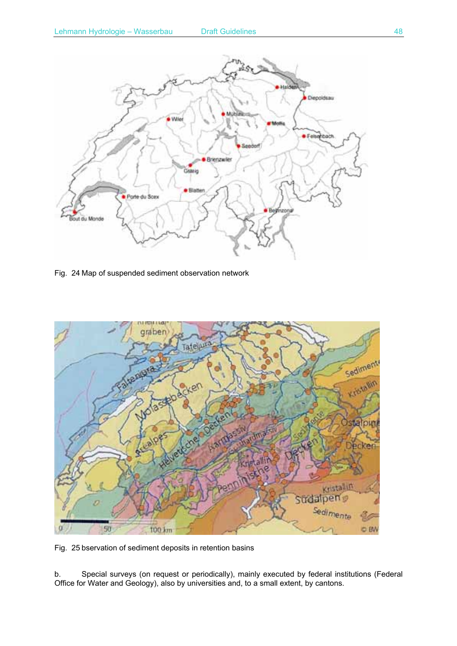

Fig. 24 Map of suspended sediment observation network



Fig. 25 bservation of sediment deposits in retention basins

b. Special surveys (on request or periodically), mainly executed by federal institutions (Federal Office for Water and Geology), also by universities and, to a small extent, by cantons.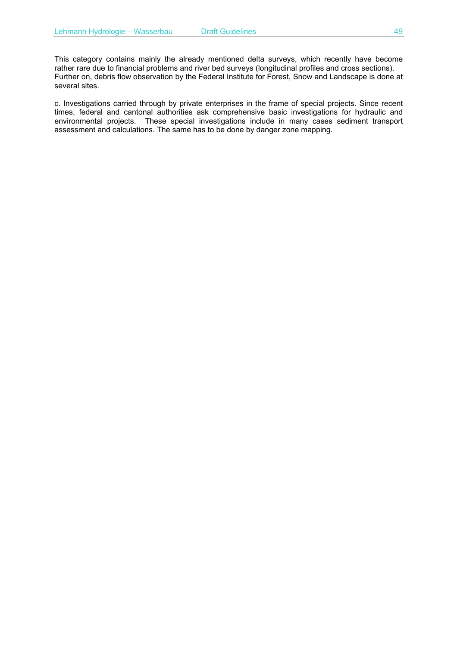This category contains mainly the already mentioned delta surveys, which recently have become rather rare due to financial problems and river bed surveys (longitudinal profiles and cross sections). Further on, debris flow observation by the Federal Institute for Forest, Snow and Landscape is done at several sites.

c. Investigations carried through by private enterprises in the frame of special projects. Since recent times, federal and cantonal authorities ask comprehensive basic investigations for hydraulic and environmental projects. These special investigations include in many cases sediment transport assessment and calculations. The same has to be done by danger zone mapping.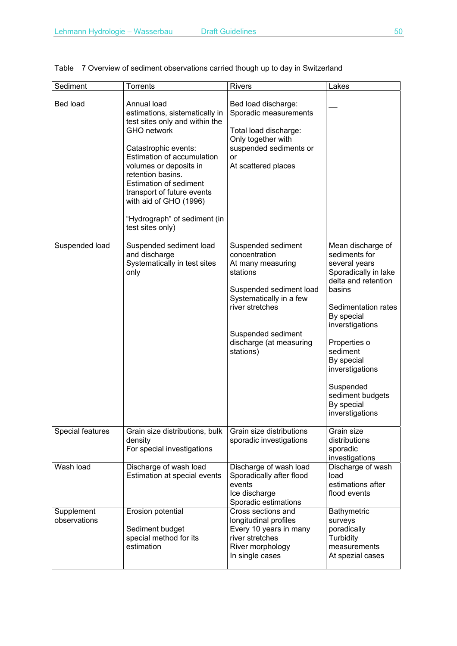| Sediment                   | <b>Torrents</b>                                                                                                                                                                                                                                                                                                                                                | <b>Rivers</b>                                                                                                                                                                                               | Lakes                                                                                                                                                                                                                                                                                               |
|----------------------------|----------------------------------------------------------------------------------------------------------------------------------------------------------------------------------------------------------------------------------------------------------------------------------------------------------------------------------------------------------------|-------------------------------------------------------------------------------------------------------------------------------------------------------------------------------------------------------------|-----------------------------------------------------------------------------------------------------------------------------------------------------------------------------------------------------------------------------------------------------------------------------------------------------|
| Bed load                   | Annual load<br>estimations, sistematically in<br>test sites only and within the<br><b>GHO</b> network<br>Catastrophic events:<br><b>Estimation of accumulation</b><br>volumes or deposits in<br>retention basins.<br><b>Estimation of sediment</b><br>transport of future events<br>with aid of GHO (1996)<br>"Hydrograph" of sediment (in<br>test sites only) | Bed load discharge:<br>Sporadic measurements<br>Total load discharge:<br>Only together with<br>suspended sediments or<br><b>or</b><br>At scattered places                                                   |                                                                                                                                                                                                                                                                                                     |
| Suspended load             | Suspended sediment load<br>and discharge<br>Systematically in test sites<br>only                                                                                                                                                                                                                                                                               | Suspended sediment<br>concentration<br>At many measuring<br>stations<br>Suspended sediment load<br>Systematically in a few<br>river stretches<br>Suspended sediment<br>discharge (at measuring<br>stations) | Mean discharge of<br>sediments for<br>several years<br>Sporadically in lake<br>delta and retention<br>basins<br>Sedimentation rates<br>By special<br>inverstigations<br>Properties o<br>sediment<br>By special<br>inverstigations<br>Suspended<br>sediment budgets<br>By special<br>inverstigations |
| Special features           | Grain size distributions, bulk<br>density<br>For special investigations                                                                                                                                                                                                                                                                                        | Grain size distributions<br>sporadic investigations                                                                                                                                                         | Grain size<br>distributions<br>sporadic<br>investigations                                                                                                                                                                                                                                           |
| Wash load                  | Discharge of wash load<br>Estimation at special events                                                                                                                                                                                                                                                                                                         | Discharge of wash load<br>Sporadically after flood<br>events<br>Ice discharge<br>Sporadic estimations                                                                                                       | Discharge of wash<br>load<br>estimations after<br>flood events                                                                                                                                                                                                                                      |
| Supplement<br>observations | Erosion potential<br>Sediment budget<br>special method for its<br>estimation                                                                                                                                                                                                                                                                                   | Cross sections and<br>longitudinal profiles<br>Every 10 years in many<br>river stretches<br>River morphology<br>In single cases                                                                             | Bathymetric<br>surveys<br>poradically<br>Turbidity<br>measurements<br>At spezial cases                                                                                                                                                                                                              |

## Table 7 Overview of sediment observations carried though up to day in Switzerland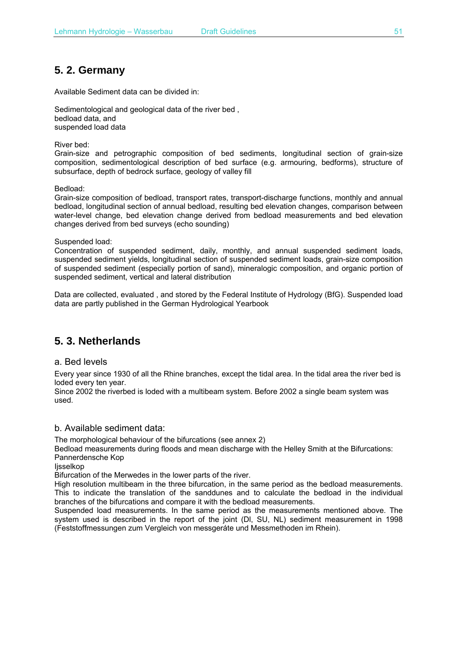# **5. 2. Germany**

Available Sediment data can be divided in:

Sedimentological and geological data of the river bed , bedload data, and suspended load data

River bed:

Grain-size and petrographic composition of bed sediments, longitudinal section of grain-size composition, sedimentological description of bed surface (e.g. armouring, bedforms), structure of subsurface, depth of bedrock surface, geology of valley fill

Bedload:

Grain-size composition of bedload, transport rates, transport-discharge functions, monthly and annual bedload, longitudinal section of annual bedload, resulting bed elevation changes, comparison between water-level change, bed elevation change derived from bedload measurements and bed elevation changes derived from bed surveys (echo sounding)

Suspended load:

Concentration of suspended sediment, daily, monthly, and annual suspended sediment loads, suspended sediment yields, longitudinal section of suspended sediment loads, grain-size composition of suspended sediment (especially portion of sand), mineralogic composition, and organic portion of suspended sediment, vertical and lateral distribution

Data are collected, evaluated , and stored by the Federal Institute of Hydrology (BfG). Suspended load data are partly published in the German Hydrological Yearbook

# **5. 3. Netherlands**

a. Bed levels

Every year since 1930 of all the Rhine branches, except the tidal area. In the tidal area the river bed is loded every ten year.

Since 2002 the riverbed is loded with a multibeam system. Before 2002 a single beam system was used.

#### b. Available sediment data:

The morphological behaviour of the bifurcations (see annex 2)

Bedload measurements during floods and mean discharge with the Helley Smith at the Bifurcations: Pannerdensche Kop

lisselkop

Bifurcation of the Merwedes in the lower parts of the river.

High resolution multibeam in the three bifurcation, in the same period as the bedload measurements. This to indicate the translation of the sanddunes and to calculate the bedload in the individual branches of the bifurcations and compare it with the bedload measurements.

Suspended load measurements. In the same period as the measurements mentioned above. The system used is described in the report of the joint (Dl, SU, NL) sediment measurement in 1998 (Feststoffmessungen zum Vergleich von messgeráte und Messmethoden im Rhein).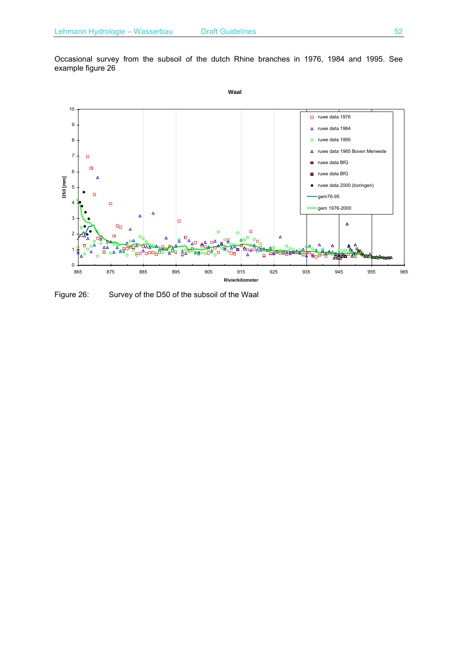Occasional survey from the subsoil of the dutch Rhine branches in 1976, 1984 and 1995. See example figure 26



Figure 26: Survey of the D50 of the subsoil of the Waal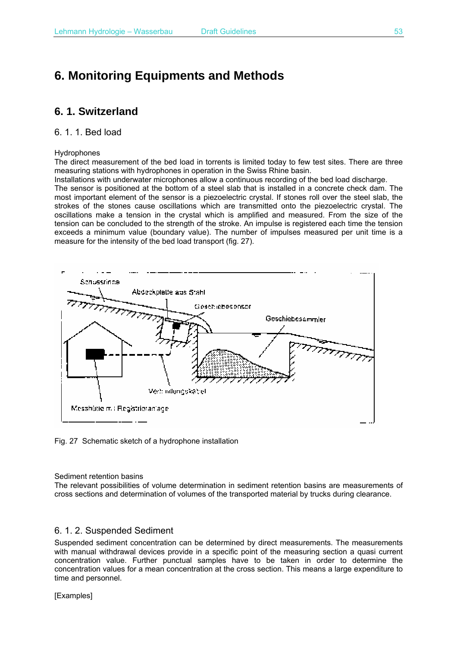# **6. Monitoring Equipments and Methods**

## **6. 1. Switzerland**

#### 6. 1. 1. Bed load

#### Hydrophones

The direct measurement of the bed load in torrents is limited today to few test sites. There are three measuring stations with hydrophones in operation in the Swiss Rhine basin.

Installations with underwater microphones allow a continuous recording of the bed load discharge.

The sensor is positioned at the bottom of a steel slab that is installed in a concrete check dam. The most important element of the sensor is a piezoelectric crystal. If stones roll over the steel slab, the strokes of the stones cause oscillations which are transmitted onto the piezoelectric crystal. The oscillations make a tension in the crystal which is amplified and measured. From the size of the tension can be concluded to the strength of the stroke. An impulse is registered each time the tension exceeds a minimum value (boundary value). The number of impulses measured per unit time is a measure for the intensity of the bed load transport (fig. 27).



Fig. 27 Schematic sketch of a hydrophone installation

#### Sediment retention basins

The relevant possibilities of volume determination in sediment retention basins are measurements of cross sections and determination of volumes of the transported material by trucks during clearance.

#### 6. 1. 2. Suspended Sediment

Suspended sediment concentration can be determined by direct measurements. The measurements with manual withdrawal devices provide in a specific point of the measuring section a quasi current concentration value. Further punctual samples have to be taken in order to determine the concentration values for a mean concentration at the cross section. This means a large expenditure to time and personnel.

[Examples]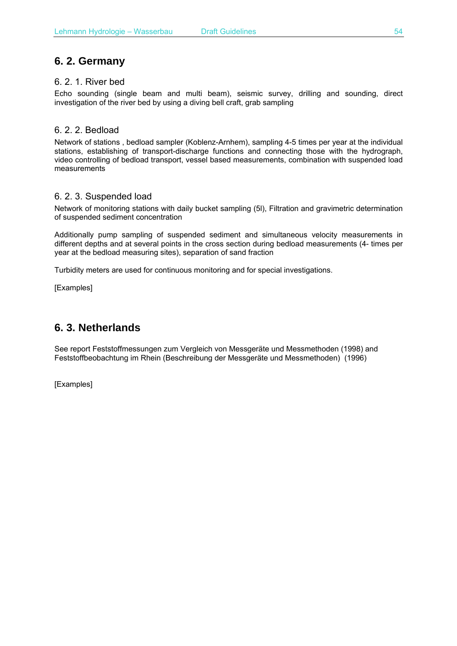# **6. 2. Germany**

### 6. 2. 1. River bed

Echo sounding (single beam and multi beam), seismic survey, drilling and sounding, direct investigation of the river bed by using a diving bell craft, grab sampling

## 6. 2. 2. Bedload

Network of stations , bedload sampler (Koblenz-Arnhem), sampling 4-5 times per year at the individual stations, establishing of transport-discharge functions and connecting those with the hydrograph, video controlling of bedload transport, vessel based measurements, combination with suspended load measurements

## 6. 2. 3. Suspended load

Network of monitoring stations with daily bucket sampling (5l), Filtration and gravimetric determination of suspended sediment concentration

Additionally pump sampling of suspended sediment and simultaneous velocity measurements in different depths and at several points in the cross section during bedload measurements (4- times per year at the bedload measuring sites), separation of sand fraction

Turbidity meters are used for continuous monitoring and for special investigations.

[Examples]

# **6. 3. Netherlands**

See report Feststoffmessungen zum Vergleich von Messgeräte und Messmethoden (1998) and Feststoffbeobachtung im Rhein (Beschreibung der Messgeräte und Messmethoden) (1996)

[Examples]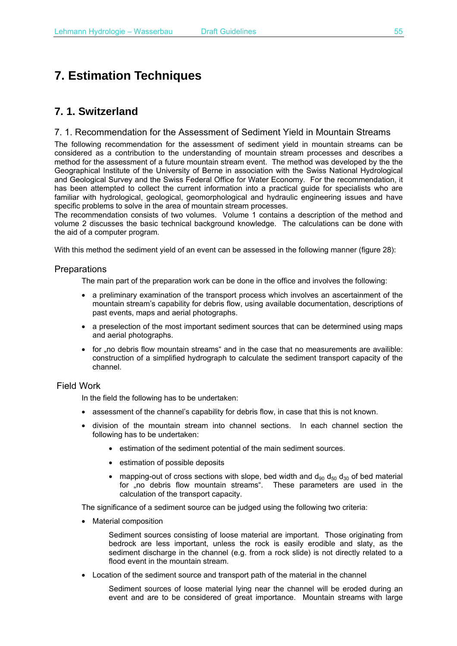# **7. Estimation Techniques**

# **7. 1. Switzerland**

#### 7. 1. Recommendation for the Assessment of Sediment Yield in Mountain Streams

The following recommendation for the assessment of sediment yield in mountain streams can be considered as a contribution to the understanding of mountain stream processes and describes a method for the assessment of a future mountain stream event. The method was developed by the the Geographical Institute of the University of Berne in association with the Swiss National Hydrological and Geological Survey and the Swiss Federal Office for Water Economy. For the recommendation, it has been attempted to collect the current information into a practical guide for specialists who are familiar with hydrological, geological, geomorphological and hydraulic engineering issues and have specific problems to solve in the area of mountain stream processes.

The recommendation consists of two volumes. Volume 1 contains a description of the method and volume 2 discusses the basic technical background knowledge. The calculations can be done with the aid of a computer program.

With this method the sediment yield of an event can be assessed in the following manner (figure 28):

#### **Preparations**

The main part of the preparation work can be done in the office and involves the following:

- a preliminary examination of the transport process which involves an ascertainment of the mountain stream's capability for debris flow, using available documentation, descriptions of past events, maps and aerial photographs.
- a preselection of the most important sediment sources that can be determined using maps and aerial photographs.
- for no debris flow mountain streams and in the case that no measurements are availible: construction of a simplified hydrograph to calculate the sediment transport capacity of the channel.

#### Field Work

In the field the following has to be undertaken:

- assessment of the channel's capability for debris flow, in case that this is not known.
- division of the mountain stream into channel sections. In each channel section the following has to be undertaken:
	- estimation of the sediment potential of the main sediment sources.
	- estimation of possible deposits
	- mapping-out of cross sections with slope, bed width and  $d_{90}$   $d_{50}$   $d_{30}$  of bed material for "no debris flow mountain streams". These parameters are used in the calculation of the transport capacity.

The significance of a sediment source can be judged using the following two criteria:

• Material composition

Sediment sources consisting of loose material are important. Those originating from bedrock are less important, unless the rock is easily erodible and slaty, as the sediment discharge in the channel (e.g. from a rock slide) is not directly related to a flood event in the mountain stream.

• Location of the sediment source and transport path of the material in the channel

Sediment sources of loose material lying near the channel will be eroded during an event and are to be considered of great importance. Mountain streams with large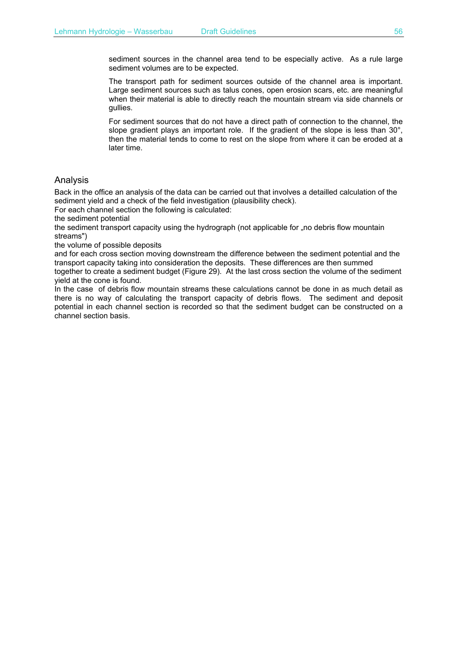sediment sources in the channel area tend to be especially active. As a rule large sediment volumes are to be expected.

The transport path for sediment sources outside of the channel area is important. Large sediment sources such as talus cones, open erosion scars, etc. are meaningful when their material is able to directly reach the mountain stream via side channels or gullies.

For sediment sources that do not have a direct path of connection to the channel, the slope gradient plays an important role. If the gradient of the slope is less than 30°, then the material tends to come to rest on the slope from where it can be eroded at a later time.

#### Analysis

Back in the office an analysis of the data can be carried out that involves a detailled calculation of the sediment yield and a check of the field investigation (plausibility check).

For each channel section the following is calculated:

the sediment potential

the sediment transport capacity using the hydrograph (not applicable for "no debris flow mountain streams")

the volume of possible deposits

and for each cross section moving downstream the difference between the sediment potential and the transport capacity taking into consideration the deposits. These differences are then summed together to create a sediment budget (Figure 29). At the last cross section the volume of the sediment

yield at the cone is found. In the case of debris flow mountain streams these calculations cannot be done in as much detail as there is no way of calculating the transport capacity of debris flows. The sediment and deposit

potential in each channel section is recorded so that the sediment budget can be constructed on a channel section basis.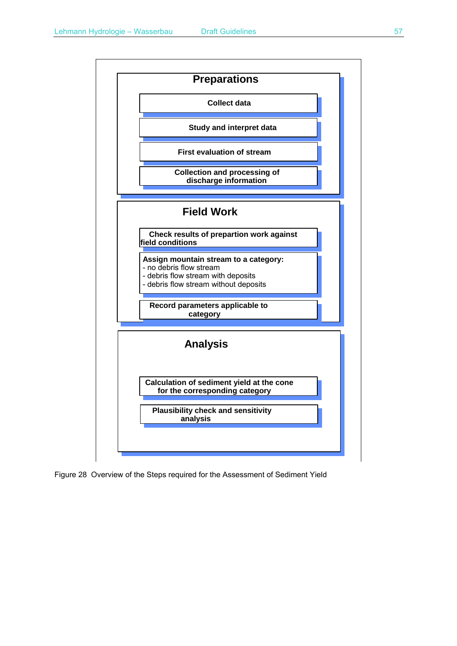

Figure 28 Overview of the Steps required for the Assessment of Sediment Yield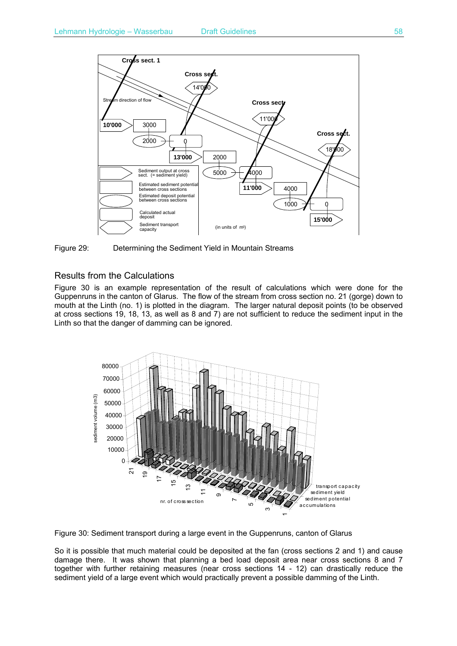

Figure 29: Determining the Sediment Yield in Mountain Streams

### Results from the Calculations

Figure 30 is an example representation of the result of calculations which were done for the Guppenruns in the canton of Glarus. The flow of the stream from cross section no. 21 (gorge) down to mouth at the Linth (no. 1) is plotted in the diagram. The larger natural deposit points (to be observed at cross sections 19, 18, 13, as well as 8 and 7) are not sufficient to reduce the sediment input in the Linth so that the danger of damming can be ignored.





So it is possible that much material could be deposited at the fan (cross sections 2 and 1) and cause damage there. It was shown that planning a bed load deposit area near cross sections 8 and 7 together with further retaining measures (near cross sections 14 - 12) can drastically reduce the sediment vield of a large event which would practically prevent a possible damming of the Linth.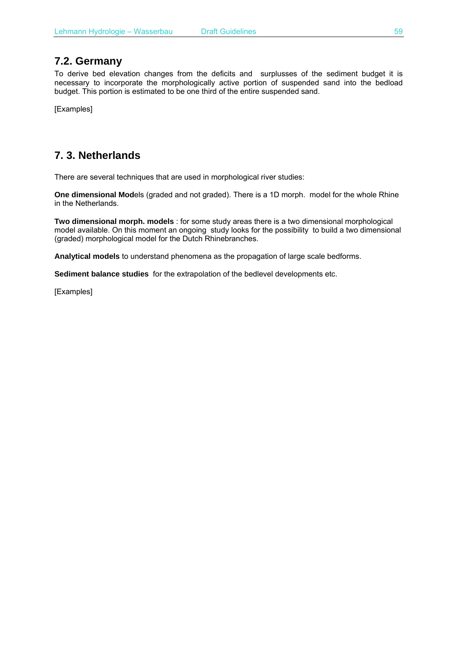## **7.2. Germany**

To derive bed elevation changes from the deficits and surplusses of the sediment budget it is necessary to incorporate the morphologically active portion of suspended sand into the bedload budget. This portion is estimated to be one third of the entire suspended sand.

[Examples]

# **7. 3. Netherlands**

There are several techniques that are used in morphological river studies:

**One dimensional Mod**els (graded and not graded). There is a 1D morph. model for the whole Rhine in the Netherlands.

**Two dimensional morph. models** : for some study areas there is a two dimensional morphological model available. On this moment an ongoing study looks for the possibility to build a two dimensional (graded) morphological model for the Dutch Rhinebranches.

**Analytical models** to understand phenomena as the propagation of large scale bedforms.

**Sediment balance studies** for the extrapolation of the bedlevel developments etc.

[Examples]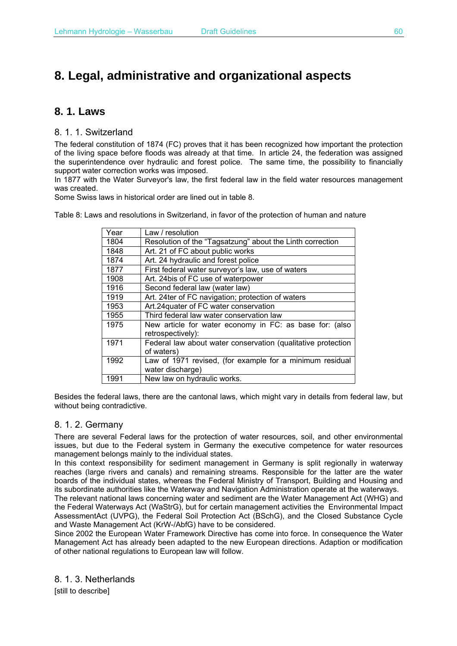# **8. Legal, administrative and organizational aspects**

# **8. 1. Laws**

8. 1. 1. Switzerland

The federal constitution of 1874 (FC) proves that it has been recognized how important the protection of the living space before floods was already at that time. In article 24, the federation was assigned the superintendence over hydraulic and forest police. The same time, the possibility to financially support water correction works was imposed.

In 1877 with the Water Surveyor's law, the first federal law in the field water resources management was created.

Some Swiss laws in historical order are lined out in table 8.

Table 8: Laws and resolutions in Switzerland, in favor of the protection of human and nature

| Year | Law / resolution                                             |
|------|--------------------------------------------------------------|
| 1804 | Resolution of the "Tagsatzung" about the Linth correction    |
| 1848 | Art. 21 of FC about public works                             |
| 1874 | Art. 24 hydraulic and forest police                          |
| 1877 | First federal water surveyor's law, use of waters            |
| 1908 | Art. 24bis of FC use of waterpower                           |
| 1916 | Second federal law (water law)                               |
| 1919 | Art. 24ter of FC navigation; protection of waters            |
| 1953 | Art.24 quater of FC water conservation                       |
| 1955 | Third federal law water conservation law                     |
| 1975 | New article for water economy in FC: as base for: (also      |
|      | retrospectively):                                            |
| 1971 | Federal law about water conservation (qualitative protection |
|      | of waters)                                                   |
| 1992 | Law of 1971 revised, (for example for a minimum residual     |
|      | water discharge)                                             |
| 1991 | New law on hydraulic works.                                  |

Besides the federal laws, there are the cantonal laws, which might vary in details from federal law, but without being contradictive.

### 8. 1. 2. Germany

There are several Federal laws for the protection of water resources, soil, and other environmental issues, but due to the Federal system in Germany the executive competence for water resources management belongs mainly to the individual states.

In this context responsibility for sediment management in Germany is split regionally in waterway reaches (large rivers and canals) and remaining streams. Responsible for the latter are the water boards of the individual states, whereas the Federal Ministry of Transport, Building and Housing and its subordinate authorities like the Waterway and Navigation Administration operate at the waterways.

The relevant national laws concerning water and sediment are the Water Management Act (WHG) and the Federal Waterways Act (WaStrG), but for certain management activities the Environmental Impact AssessmentAct (UVPG), the Federal Soil Protection Act (BSchG), and the Closed Substance Cycle and Waste Management Act (KrW-/AbfG) have to be considered.

Since 2002 the European Water Framework Directive has come into force. In consequence the Water Management Act has already been adapted to the new European directions. Adaption or modification of other national regulations to European law will follow.

8. 1. 3. Netherlands

[still to describe]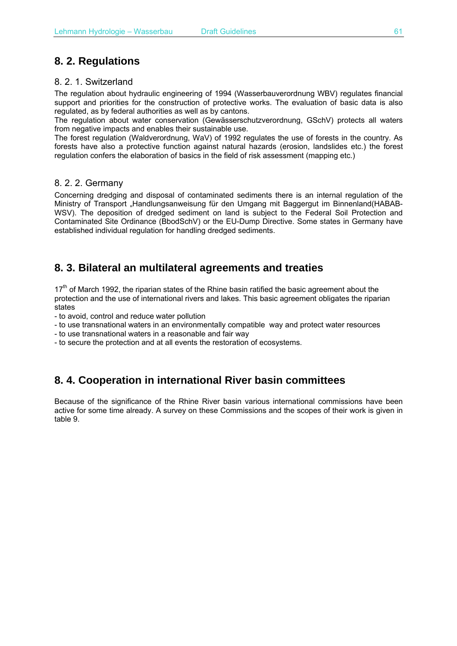# **8. 2. Regulations**

### 8. 2. 1. Switzerland

The regulation about hydraulic engineering of 1994 (Wasserbauverordnung WBV) regulates financial support and priorities for the construction of protective works. The evaluation of basic data is also regulated, as by federal authorities as well as by cantons.

The regulation about water conservation (Gewässerschutzverordnung, GSchV) protects all waters from negative impacts and enables their sustainable use.

The forest regulation (Waldverordnung, WaV) of 1992 regulates the use of forests in the country. As forests have also a protective function against natural hazards (erosion, landslides etc.) the forest regulation confers the elaboration of basics in the field of risk assessment (mapping etc.)

### 8. 2. 2. Germany

Concerning dredging and disposal of contaminated sediments there is an internal regulation of the Ministry of Transport "Handlungsanweisung für den Umgang mit Baggergut im Binnenland(HABAB-WSV). The deposition of dredged sediment on land is subject to the Federal Soil Protection and Contaminated Site Ordinance (BbodSchV) or the EU-Dump Directive. Some states in Germany have established individual regulation for handling dredged sediments.

# **8. 3. Bilateral an multilateral agreements and treaties**

 $17<sup>th</sup>$  of March 1992, the riparian states of the Rhine basin ratified the basic agreement about the protection and the use of international rivers and lakes. This basic agreement obligates the riparian states

- to avoid, control and reduce water pollution

- to use transnational waters in an environmentally compatible way and protect water resources
- to use transnational waters in a reasonable and fair way
- to secure the protection and at all events the restoration of ecosystems.

# **8. 4. Cooperation in international River basin committees**

Because of the significance of the Rhine River basin various international commissions have been active for some time already. A survey on these Commissions and the scopes of their work is given in table 9.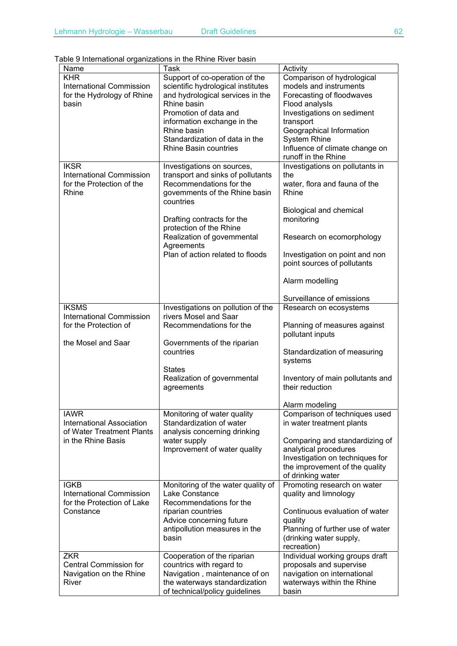Table 9 International organizations in the Rhine River basin

| Name                                                                                               | Task                                                                                                                                                                                                                                                                              | Activity                                                                                                                                                                                                                                                                |
|----------------------------------------------------------------------------------------------------|-----------------------------------------------------------------------------------------------------------------------------------------------------------------------------------------------------------------------------------------------------------------------------------|-------------------------------------------------------------------------------------------------------------------------------------------------------------------------------------------------------------------------------------------------------------------------|
| <b>KHR</b><br><b>International Commission</b><br>for the Hydrology of Rhine<br>basin               | Support of co-operation of the<br>scientific hydrological institutes<br>and hydrological services in the<br>Rhine basin<br>Promotion of data and<br>information exchange in the<br>Rhine basin<br>Standardization of data in the<br>Rhine Basin countries                         | Comparison of hydrological<br>models and instruments<br>Forecasting of floodwaves<br>Flood analysis<br>Investigations on sediment<br>transport<br>Geographical Information<br><b>System Rhine</b><br>Influence of climate change on<br>runoff in the Rhine              |
| <b>IKSR</b><br><b>International Commission</b><br>for the Protection of the<br>Rhine               | Investigations on sources,<br>transport and sinks of pollutants<br>Recommendations for the<br>govemments of the Rhine basin<br>countries<br>Drafting contracts for the<br>protection of the Rhine<br>Realization of govemmental<br>Agreements<br>Plan of action related to floods | Investigations on pollutants in<br>the<br>water, flora and fauna of the<br>Rhine<br>Biological and chemical<br>monitoring<br>Research on ecomorphology<br>Investigation on point and non<br>point sources of pollutants<br>Alarm modelling<br>Surveillance of emissions |
| <b>IKSMS</b><br><b>International Commission</b><br>for the Protection of                           | Investigations on pollution of the<br>rivers Mosel and Saar<br>Recommendations for the                                                                                                                                                                                            | Research on ecosystems<br>Planning of measures against                                                                                                                                                                                                                  |
| the Mosel and Saar                                                                                 | Governments of the riparian<br>countries<br><b>States</b><br>Realization of governmental<br>agreements                                                                                                                                                                            | pollutant inputs<br>Standardization of measuring<br>systems<br>Inventory of main pollutants and<br>their reduction<br>Alarm modeling                                                                                                                                    |
| <b>IAWR</b><br><b>International Association</b><br>of Water Treatment Plants<br>in the Rhine Basis | Monitoring of water quality<br>Standardization of water<br>analysis concerning drinking<br>water supply<br>Improvement of water quality                                                                                                                                           | Comparison of techniques used<br>in water treatment plants<br>Comparing and standardizing of<br>analytical procedures<br>Investigation on techniques for<br>the improvement of the quality<br>of drinking water                                                         |
| <b>IGKB</b><br><b>International Commission</b><br>for the Protection of Lake<br>Constance          | Monitoring of the water quality of<br>Lake Constance<br>Recommendations for the<br>riparian countries<br>Advice concerning future<br>antipollution measures in the<br>basin                                                                                                       | Promoting research on water<br>quality and limnology<br>Continuous evaluation of water<br>quality<br>Planning of further use of water<br>(drinking water supply,<br>recreation)                                                                                         |
| <b>ZKR</b><br><b>Central Commission for</b><br>Navigation on the Rhine<br>River                    | Cooperation of the riparian<br>countrics with regard to<br>Navigation, maintenance of on<br>the waterways standardization<br>of technical/policy guidelines                                                                                                                       | Individual working groups draft<br>proposals and supervise<br>navigation on international<br>waterways within the Rhine<br>basin                                                                                                                                        |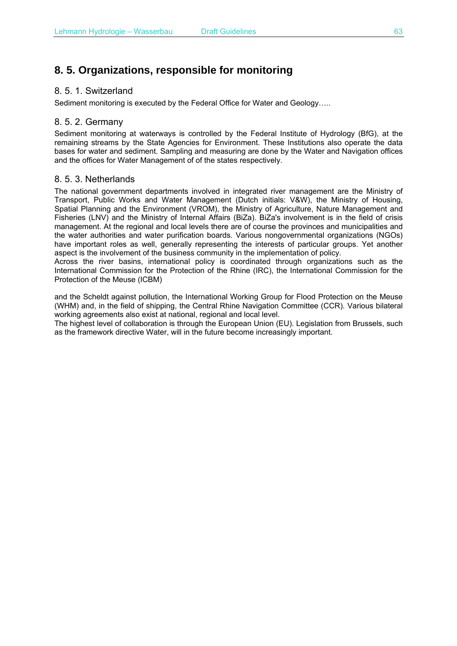# **8. 5. Organizations, responsible for monitoring**

### 8. 5. 1. Switzerland

Sediment monitoring is executed by the Federal Office for Water and Geology…..

### 8. 5. 2. Germany

Sediment monitoring at waterways is controlled by the Federal Institute of Hydrology (BfG), at the remaining streams by the State Agencies for Environment. These Institutions also operate the data bases for water and sediment. Sampling and measuring are done by the Water and Navigation offices and the offices for Water Management of of the states respectively.

### 8. 5. 3. Netherlands

The national government departments involved in integrated river management are the Ministry of Transport, Public Works and Water Management (Dutch initials: V&W), the Ministry of Housing, Spatial Planning and the Environment (VROM), the Ministry of Agriculture, Nature Management and Fisheries (LNV) and the Ministry of Internal Affairs (BiZa). BiZa's involvement is in the field of crisis management. At the regional and local levels there are of course the provinces and municipalities and the water authorities and water purification boards. Various nongovernmental organizations (NGOs) have important roles as well, generally representing the interests of particular groups. Yet another aspect is the involvement of the business community in the implementation of policy.

Across the river basins, international policy is coordinated through organizations such as the International Commission for the Protection of the Rhine (IRC), the International Commission for the Protection of the Meuse (ICBM)

and the Scheldt against pollution, the International Working Group for Flood Protection on the Meuse (WHM) and, in the field of shipping, the Central Rhine Navigation Committee (CCR). Various bilateral working agreements also exist at national, regional and local level.

The highest level of collaboration is through the European Union (EU). Legislation from Brussels, such as the framework directive Water, will in the future become increasingly important.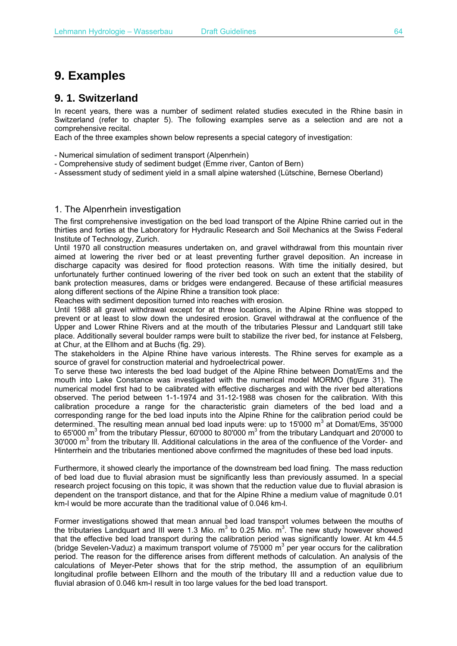# **9. Examples**

## **9. 1. Switzerland**

In recent years, there was a number of sediment related studies executed in the Rhine basin in Switzerland (refer to chapter 5). The following examples serve as a selection and are not a comprehensive recital.

Each of the three examples shown below represents a special category of investigation:

- Numerical simulation of sediment transport (Alpenrhein)
- Comprehensive study of sediment budget (Emme river, Canton of Bern)
- Assessment study of sediment yield in a small alpine watershed (Lütschine, Bernese Oberland)

### 1. The Alpenrhein investigation

The first comprehensive investigation on the bed load transport of the Alpine Rhine carried out in the thirties and forties at the Laboratory for Hydraulic Research and Soil Mechanics at the Swiss Federal Institute of Technology, Zurich.

Until 1970 all construction measures undertaken on, and gravel withdrawal from this mountain river aimed at lowering the river bed or at least preventing further gravel deposition. An increase in discharge capacity was desired for flood protection reasons. With time the initially desired, but unfortunately further continued lowering of the river bed took on such an extent that the stability of bank protection measures, dams or bridges were endangered. Because of these artificial measures along different sections of the Alpine Rhine a transition took place:

Reaches with sediment deposition turned into reaches with erosion.

Until 1988 all gravel withdrawal except for at three locations, in the Alpine Rhine was stopped to prevent or at least to slow down the undesired erosion. Gravel withdrawal at the confluence of the Upper and Lower Rhine Rivers and at the mouth of the tributaries Plessur and Landquart still take place. Additionally several boulder ramps were built to stabilize the river bed, for instance at Felsberg, at Chur, at the Ellhom and at Buchs (fig. 29).

The stakeholders in the Alpine Rhine have various interests. The Rhine serves for example as a source of gravel for construction material and hydroelectrical power.

To serve these two interests the bed load budget of the Alpine Rhine between Domat/Ems and the mouth into Lake Constance was investigated with the numerical model MORMO (figure 31). The numerical model first had to be calibrated with effective discharges and with the river bed alterations observed. The period between 1-1-1974 and 31-12-1988 was chosen for the calibration. With this calibration procedure a range for the characteristic grain diameters of the bed load and a corresponding range for the bed load inputs into the Alpine Rhine for the calibration period could be determined. The resulting mean annual bed load inputs were: up to 15'000 m<sup>3</sup> at Domat/Ems, 35'000 to 65'000 m<sup>3</sup> from the tributary Plessur, 60'000 to 80'000 m<sup>3</sup> from the tributary Landquart and 20'000 to 30'000 m<sup>3</sup> from the tributary Ill. Additional calculations in the area of the confluence of the Vorder- and Hinterrhein and the tributaries mentioned above confirmed the magnitudes of these bed load inputs.

Furthermore, it showed clearly the importance of the downstream bed load fining. The mass reduction of bed load due to fluvial abrasion must be significantly less than previously assumed. In a special research project focusing on this topic, it was shown that the reduction value due to fluvial abrasion is dependent on the transport distance, and that for the Alpine Rhine a medium value of magnitude 0.01 km-l would be more accurate than the traditional value of 0.046 km-l.

Former investigations showed that mean annual bed load transport volumes between the mouths of the tributaries Landquart and III were 1.3 Mio.  $m^3$  to 0.25 Mio.  $m^3$ . The new study however showed that the effective bed load transport during the calibration period was significantly lower. At km 44.5 (bridge Sevelen-Vaduz) a maximum transport volume of 75'000  $m^3$  per year occurs for the calibration period. The reason for the difference arises from different methods of calculation. An analysis of the calculations of Meyer-Peter shows that for the strip method, the assumption of an equilibrium longitudinal profile between EIlhorn and the mouth of the tributary III and a reduction value due to fluvial abrasion of 0.046 km-l result in too large values for the bed load transport.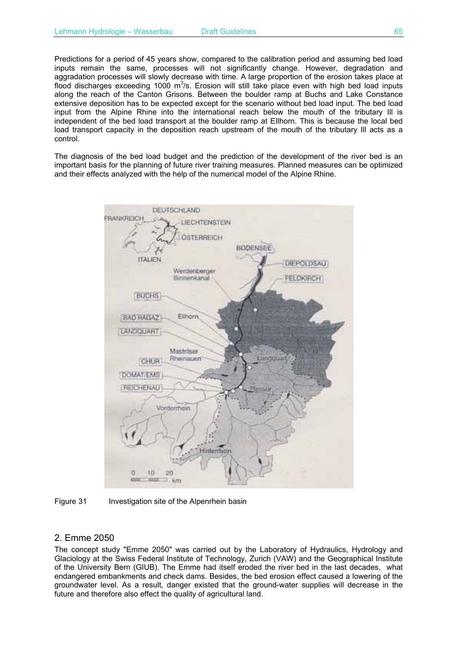Predictions for a period of 45 years show, compared to the calibration period and assuming bed load inputs remain the same, processes will not significantly change. However, degradation and aggradation processes will slowly decrease with time. A large proportion of the erosion takes place at flood discharges exceeding 1000  $m^3/s$ . Erosion will still take place even with high bed load inputs along the reach of the Canton Grisons. Between the boulder ramp at Buchs and Lake Constance extensive deposition has to be expected except for the scenario without bed load input. The bed load input from the Alpine Rhine into the international reach below the mouth of the tributary Ill is independent of the bed load transport at the boulder ramp at EIlhorn. This is because the local bed load transport capacity in the deposition reach upstream of the mouth of the tributary III acts as a control.

The diagnosis of the bed load budget and the prediction of the development of the river bed is an important basis for the planning of future river training measures. Planned measures can be optimized and their effects analyzed with the help of the numerical model of the Alpine Rhine.





Figure 31 Investigation site of the Alpenrhein basin

#### 2. Emme 2050

The concept study "Emme 2050" was carried out by the Laboratory of Hydraulics, Hydrology and Glaciology at the Swiss Federal Institute of Technology, Zurich (VAW) and the Geographical Institute of the University Bern (GIUB). The Emme had itself eroded the river bed in the last decades, what endangered embankments and check dams. Besides, the bed erosion effect caused a lowering of the groundwater level. As a result, danger existed that the ground-water supplies will decrease in the future and therefore also effect the quality of agricultural land.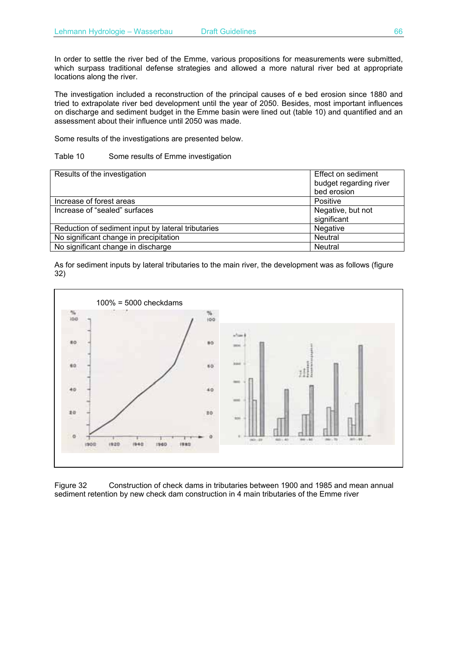In order to settle the river bed of the Emme, various propositions for measurements were submitted, which surpass traditional defense strategies and allowed a more natural river bed at appropriate locations along the river.

The investigation included a reconstruction of the principal causes of e bed erosion since 1880 and tried to extrapolate river bed development until the year of 2050. Besides, most important influences on discharge and sediment budget in the Emme basin were lined out (table 10) and quantified and an assessment about their influence until 2050 was made.

Some results of the investigations are presented below.

#### Table 10 Some results of Emme investigation

| Results of the investigation                       | Effect on sediment<br>budget regarding river<br>bed erosion |
|----------------------------------------------------|-------------------------------------------------------------|
| Increase of forest areas                           | Positive                                                    |
| Increase of "sealed" surfaces                      | Negative, but not<br>significant                            |
| Reduction of sediment input by lateral tributaries | Negative                                                    |
| No significant change in precipitation             | Neutral                                                     |
| No significant change in discharge                 | Neutral                                                     |

As for sediment inputs by lateral tributaries to the main river, the development was as follows (figure 32)



Figure 32 Construction of check dams in tributaries between 1900 and 1985 and mean annual sediment retention by new check dam construction in 4 main tributaries of the Emme river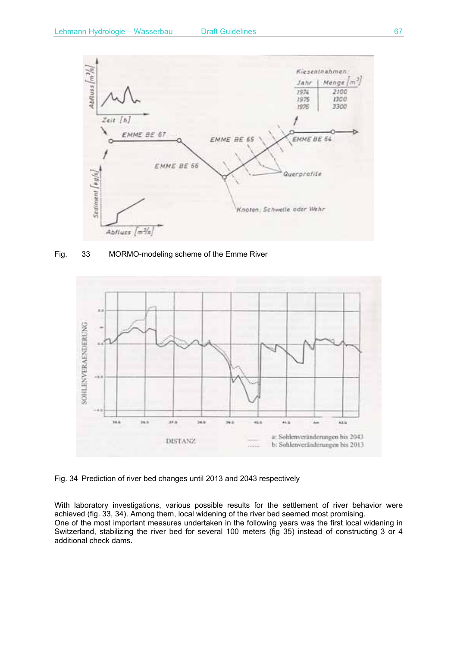

Fig. 33 MORMO-modeling scheme of the Emme River



Fig. 34 Prediction of river bed changes until 2013 and 2043 respectively

With laboratory investigations, various possible results for the settlement of river behavior were achieved (fig. 33, 34). Among them, local widening of the river bed seemed most promising. One of the most important measures undertaken in the following years was the first local widening in Switzerland, stabilizing the river bed for several 100 meters (fig 35) instead of constructing 3 or 4 additional check dams.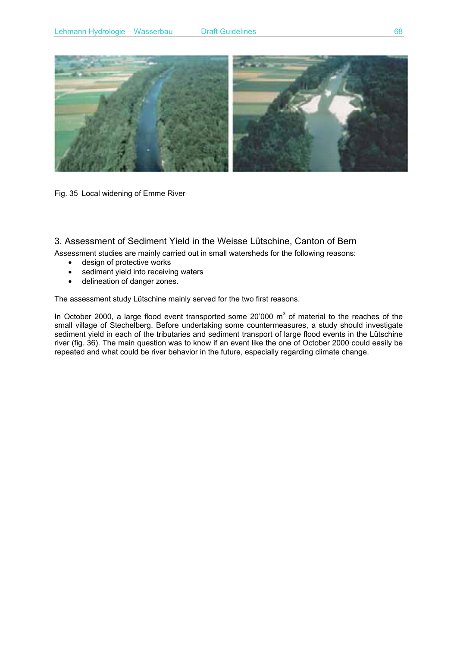

Fig. 35 Local widening of Emme River

### 3. Assessment of Sediment Yield in the Weisse Lütschine, Canton of Bern

Assessment studies are mainly carried out in small watersheds for the following reasons:

- design of protective works
- sediment yield into receiving waters
- delineation of danger zones.

The assessment study Lütschine mainly served for the two first reasons.

In October 2000, a large flood event transported some 20'000  $m^3$  of material to the reaches of the small village of Stechelberg. Before undertaking some countermeasures, a study should investigate sediment yield in each of the tributaries and sediment transport of large flood events in the Lütschine river (fig. 36). The main question was to know if an event like the one of October 2000 could easily be repeated and what could be river behavior in the future, especially regarding climate change.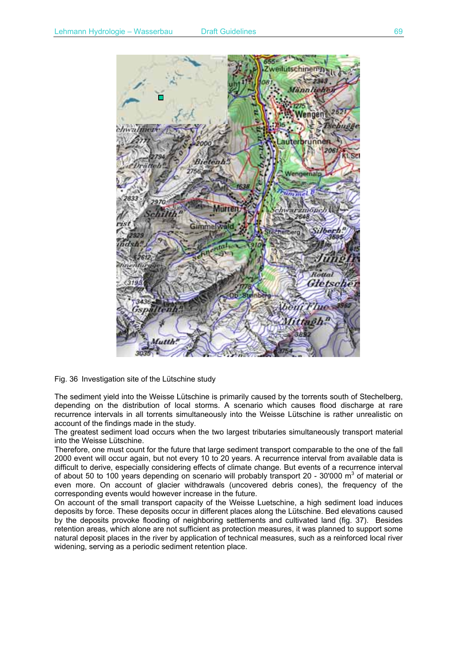

Fig. 36 Investigation site of the Lütschine study

The sediment yield into the Weisse Lütschine is primarily caused by the torrents south of Stechelberg, depending on the distribution of local storms. A scenario which causes flood discharge at rare recurrence intervals in all torrents simultaneously into the Weisse Lütschine is rather unrealistic on account of the findings made in the study.

The greatest sediment load occurs when the two largest tributaries simultaneously transport material into the Weisse Lütschine.

Therefore, one must count for the future that large sediment transport comparable to the one of the fall 2000 event will occur again, but not every 10 to 20 years. A recurrence interval from available data is difficult to derive, especially considering effects of climate change. But events of a recurrence interval of about 50 to 100 years depending on scenario will probably transport 20 - 30'000 m<sup>3</sup> of material or even more. On account of glacier withdrawals (uncovered debris cones), the frequency of the corresponding events would however increase in the future.

On account of the small transport capacity of the Weisse Luetschine, a high sediment load induces deposits by force. These deposits occur in different places along the Lütschine. Bed elevations caused by the deposits provoke flooding of neighboring settlements and cultivated land (fig. 37). Besides retention areas, which alone are not sufficient as protection measures, it was planned to support some natural deposit places in the river by application of technical measures, such as a reinforced local river widening, serving as a periodic sediment retention place.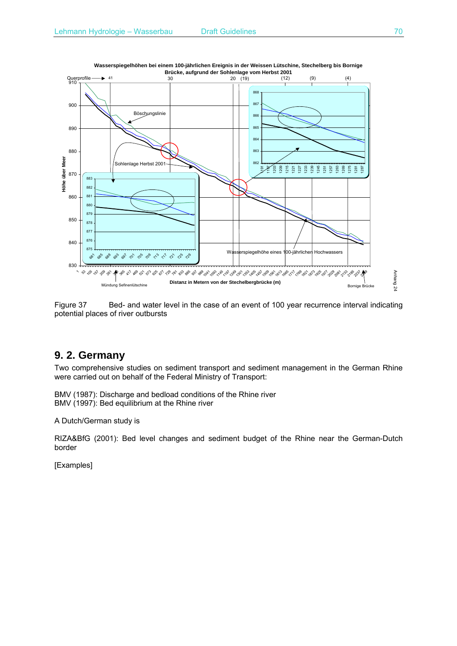

**Wasserspiegelhöhen bei einem 100-jährlichen Ereignis in der Weissen Lütschine, Stechelberg bis Bornige Brücke, aufgrund der Sohlenlage vom Herbst 2001**



## **9. 2. Germany**

Two comprehensive studies on sediment transport and sediment management in the German Rhine were carried out on behalf of the Federal Ministry of Transport:

BMV (1987): Discharge and bedload conditions of the Rhine river BMV (1997): Bed equilibrium at the Rhine river

A Dutch/German study is

RIZA&BfG (2001): Bed level changes and sediment budget of the Rhine near the German-Dutch border

[Examples]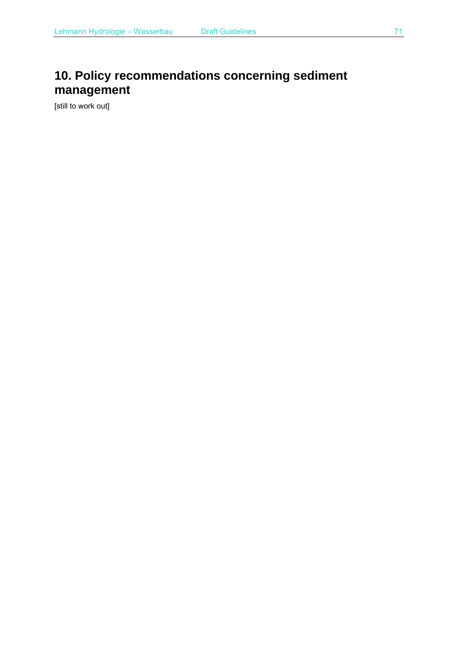# **10. Policy recommendations concerning sediment management**

[still to work out]